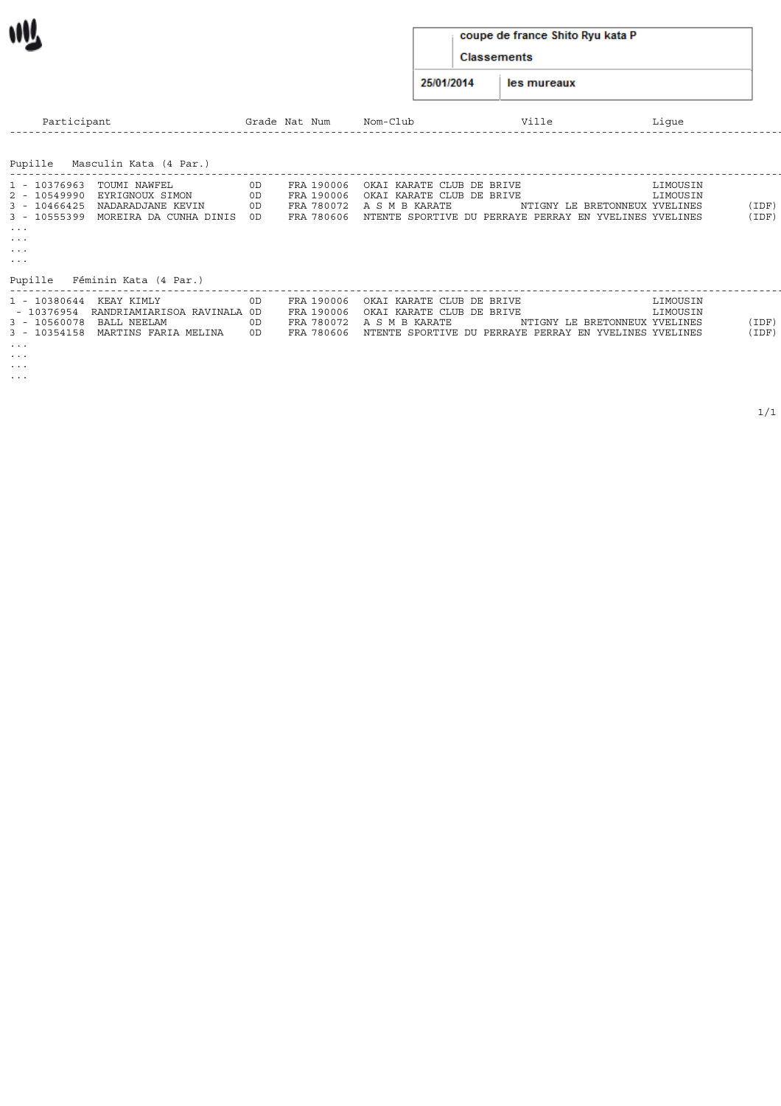#### coupe de france Shito Ryu kata P

Classements

25/01/2014 les mureaux

| Participant                                                                                                                                                                                                                                     |                      | Grade Nat Num                                        | Nom-Club                                                                                                                                      | Ville | Lique                                                 |                |
|-------------------------------------------------------------------------------------------------------------------------------------------------------------------------------------------------------------------------------------------------|----------------------|------------------------------------------------------|-----------------------------------------------------------------------------------------------------------------------------------------------|-------|-------------------------------------------------------|----------------|
| Masculin Kata (4 Par.)<br>Pupille                                                                                                                                                                                                               |                      |                                                      |                                                                                                                                               |       |                                                       |                |
| TOUMI NAWFEL<br>1 - 10376963<br>2 - 10549990<br>EYRIGNOUX SIMON<br>NADARADJANE KEVIN<br>$3 - 10466425$<br>3 - 10555399<br>MOREIRA DA CUNHA DINIS<br>$\sim$ $\sim$ $\sim$<br>$\cdots$<br>$\sim$ $\sim$ $\sim$<br>$\sim$ $\sim$ $\sim$<br>Pupille | 0D<br>OD<br>0D<br>0D | FRA 190006<br>FRA 190006<br>FRA 780606               | OKAI KARATE CLUB DE BRIVE<br>OKAI KARATE CLUB DE BRIVE<br>FRA 780072 A S M B KARATE<br>NTENTE SPORTIVE DU PERRAYE PERRAY EN YVELINES YVELINES |       | LIMOUSIN<br>LIMOUSIN<br>NTIGNY LE BRETONNEUX YVELINES | (IDF)<br>(IDF) |
| Féminin Kata (4 Par.)<br>1 - 10380644<br>KEAY KIMLY<br>RANDRIAMIARISOA RAVINALA OD<br>- 10376954<br>3 - 10560078 BALL NEELAM<br>3 - 10354158 MARTINS FARIA MELINA<br>$\cdots$<br>$\cdots$                                                       | 0D.<br>0D<br>0D      | FRA 190006<br>FRA 190006<br>FRA 780072<br>FRA 780606 | OKAI KARATE CLUB DE BRIVE<br>OKAI KARATE CLUB DE BRIVE<br>A S M B KARATE<br>NTENTE SPORTIVE DU PERRAYE PERRAY EN YVELINES YVELINES            |       | LIMOUSIN<br>LIMOUSIN<br>NTIGNY LE BRETONNEUX YVELINES | (IDF)<br>(IDF) |

... ...

wV.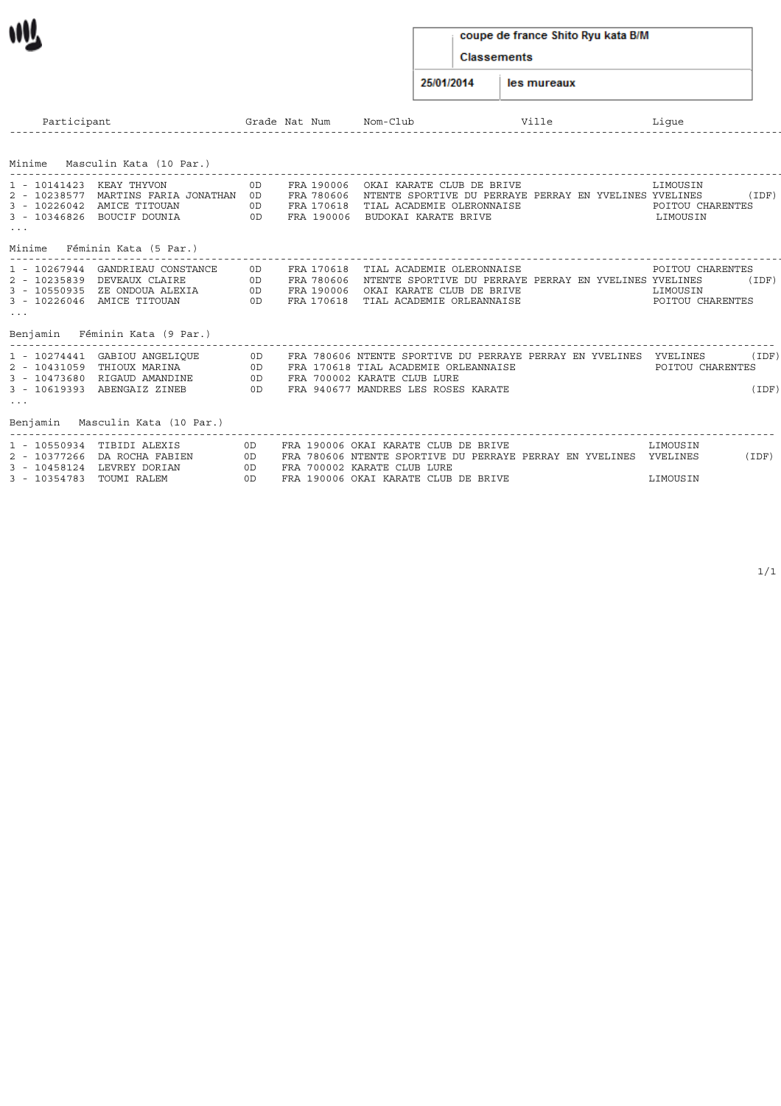## coupe de france Shito Ryu kata B/M

Classements

25/01/2014 les mureaux

| Participant                                                                                                                                                                      |                       | Grade Nat Num                                        | $Nom - C1$ uh                                                                                                                                                          | Ville | Lique                                            |                |
|----------------------------------------------------------------------------------------------------------------------------------------------------------------------------------|-----------------------|------------------------------------------------------|------------------------------------------------------------------------------------------------------------------------------------------------------------------------|-------|--------------------------------------------------|----------------|
| Minime Masculin Kata (10 Par.)                                                                                                                                                   |                       |                                                      |                                                                                                                                                                        |       |                                                  |                |
| 1 - 10141423<br>KEAY THYVON<br>2 - 10238577 MARTINS FARIA JONATHAN<br>3 - 10226042 AMICE TITOUAN<br>3 - 10346826 BOUCIF DOUNIA<br>$\sim$ $\sim$ $\sim$                           | 0D.<br>OD<br>0D<br>0D | FRA 190006<br>FRA 780606<br>FRA 170618<br>FRA 190006 | OKAI KARATE CLUB DE BRIVE<br>NTENTE SPORTIVE DU PERRAYE PERRAY EN YVELINES YVELINES<br>TIAL ACADEMIE OLERONNAISE<br>BUDOKAI KARATE BRIVE                               |       | LIMOUSIN<br>POITOU CHARENTES<br>LIMOUSIN         | (IDF)          |
| Minime<br>Féminin Kata (5 Par.                                                                                                                                                   |                       |                                                      |                                                                                                                                                                        |       |                                                  |                |
| 1 - 10267944 GANDRIEAU CONSTANCE<br>2 - 10235839<br>DEVEAUX CLAIRE<br>3 - 10550935 ZE ONDOUA ALEXIA<br>3 - 10226046 AMICE TITOUAN<br>$\sim$ $\sim$ $\sim$                        | 0D.<br>0D<br>0D<br>OD | FRA 170618<br>FRA 780606<br>FRA 190006<br>FRA 170618 | TIAL ACADEMIE OLERONNAISE<br>NTENTE SPORTIVE DU PERRAYE PERRAY EN YVELINES YVELINES<br>OKAI KARATE CLUB DE BRIVE<br>TIAL ACADEMIE ORLEANNAISE                          |       | POITOU CHARENTES<br>LIMOUSIN<br>POITOU CHARENTES | (IDF)          |
| Benjamin<br>Féminin Kata (9 Par.                                                                                                                                                 |                       |                                                      |                                                                                                                                                                        |       |                                                  |                |
| 1 - 10274441 GABIOU ANGELIOUE<br>THIOUX MARINA<br>2 - 10431059<br>3 - 10473680 RIGAUD AMANDINE<br>3 - 10619393 ABENGAIZ ZINEB<br>$\sim$ $\sim$ $\sim$<br>Masculin Kata (10 Par.) | 0D<br>0D<br>0D<br>OD  |                                                      | FRA 780606 NTENTE SPORTIVE DU PERRAYE PERRAY EN YVELINES<br>FRA 170618 TIAL ACADEMIE ORLEANNAISE<br>FRA 700002 KARATE CLUB LURE<br>FRA 940677 MANDRES LES ROSES KARATE |       | YVELINES<br>POITOU CHARENTES                     | (IDF)<br>(IDF) |
| Benjamin<br>1 - 10550934 TIBIDI ALEXIS                                                                                                                                           |                       |                                                      | FRA 190006 OKAI KARATE CLUB DE BRIVE                                                                                                                                   |       | LIMOUSIN                                         |                |
| 2 - 10377266 DA ROCHA FABIEN<br>3 - 10458124 LEVREY DORIAN                                                                                                                       | 0D.<br>0D<br>0D       |                                                      | FRA 780606 NTENTE SPORTIVE DU PERRAYE PERRAY EN YVELINES<br>FRA 700002 KARATE CLUB LURE                                                                                |       | YVELINES                                         | (IDF)          |

3 - 10354783 TOUMI RALEM 0D FRA 190006 OKAI KARATE CLUB DE BRIVE LIMOUSIN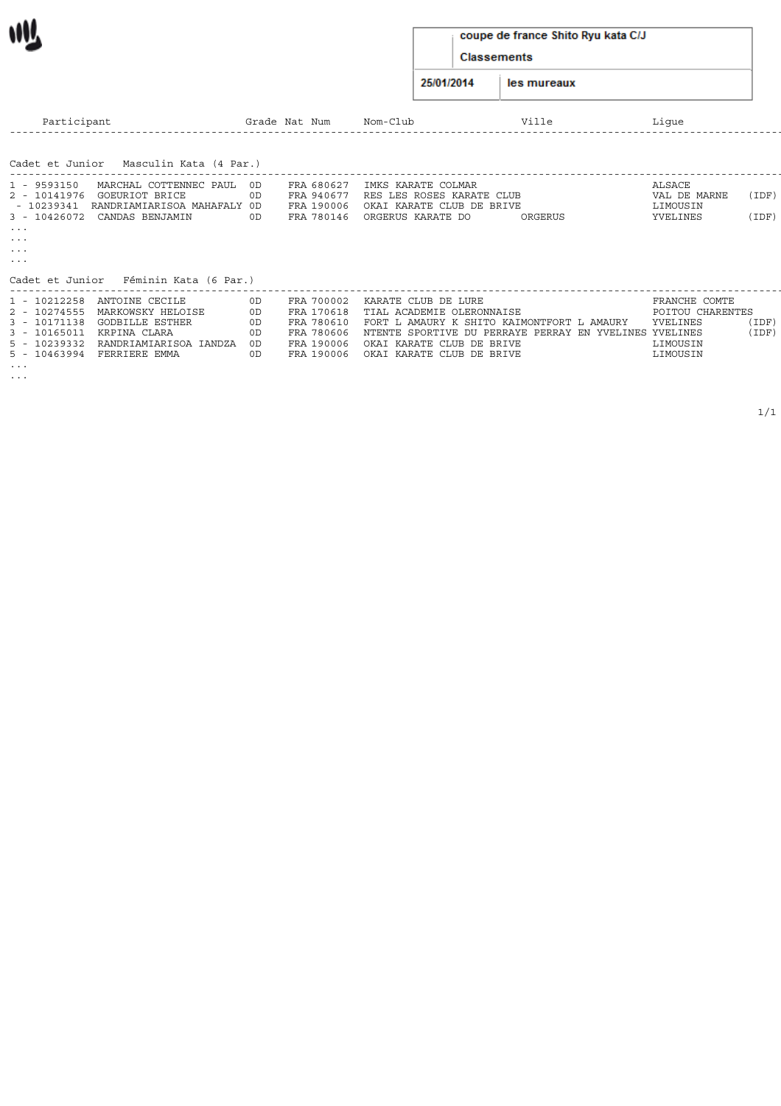#### coupe de france Shito Ryu kata C/J

Classements

25/01/2014 les mureaux

| Participant                |                                               |    | Grade Nat Num            | Nom-Club                                               |         | Lique                    |       |
|----------------------------|-----------------------------------------------|----|--------------------------|--------------------------------------------------------|---------|--------------------------|-------|
| Cadet et Junior            | Masculin Kata (4 Par.)                        |    |                          |                                                        |         |                          |       |
|                            |                                               |    |                          |                                                        |         |                          |       |
| 1 - 9593150                | MARCHAL COTTENNEC PAUL OD                     |    | FRA 680627               | IMKS KARATE COLMAR                                     |         | ALSACE                   |       |
| 2 - 10141976<br>- 10239341 | GOEURIOT BRICE<br>RANDRIAMIARISOA MAHAFALY OD | 0D | FRA 940677<br>FRA 190006 | RES LES ROSES KARATE CLUB<br>OKAI KARATE CLUB DE BRIVE |         | VAL DE MARNE<br>LIMOUSIN | (IDF) |
| 3 - 10426072               | CANDAS BENJAMIN                               | 0D | FRA 780146               | ORGERUS KARATE DO                                      | ORGERUS | YVELINES                 | (IDF) |
| $\sim$ $\sim$ $\sim$       |                                               |    |                          |                                                        |         |                          |       |
| $\sim$ $\sim$ $\sim$       |                                               |    |                          |                                                        |         |                          |       |
| $\sim$ $\sim$ $\sim$       |                                               |    |                          |                                                        |         |                          |       |
| $\sim$ $\sim$ $\sim$       |                                               |    |                          |                                                        |         |                          |       |
| Cadet et Junior            | Féminin Kata (6 Par.)                         |    |                          |                                                        |         |                          |       |
| 1 - 10212258               | ANTOINE CECILE                                |    | FRA 700002               | KARATE CLUB DE LURE                                    |         | FRANCHE COMTE            |       |
| 2 - 10274555               | MARKOWSKY HELOISE                             | 0D | FRA 170618               | TIAL ACADEMIE OLERONNAISE                              |         | POITOU CHARENTES         |       |
| 3 - 10171138               | <b>GODBILLE ESTHER</b>                        | 0D | FRA 780610               | FORT L AMAURY K SHITO KAIMONTFORT L AMAURY             |         | YVELINES                 | (IDF) |
| 3 - 10165011               | KRPINA CLARA                                  |    | FRA 780606               | NTENTE SPORTIVE DU PERRAYE PERRAY EN YVELINES YVELINES |         |                          | (IDF) |
| 5 - 10239332               | RANDRIAMIARISOA IANDZA                        | 0D | FRA 190006               | OKAI KARATE CLUB DE BRIVE                              |         | LIMOUSIN                 |       |

5 - 10463994 FERRIERE EMMA 0D FRA 190006 OKAI KARATE CLUB DE BRIVE LIMOUSIN

... ...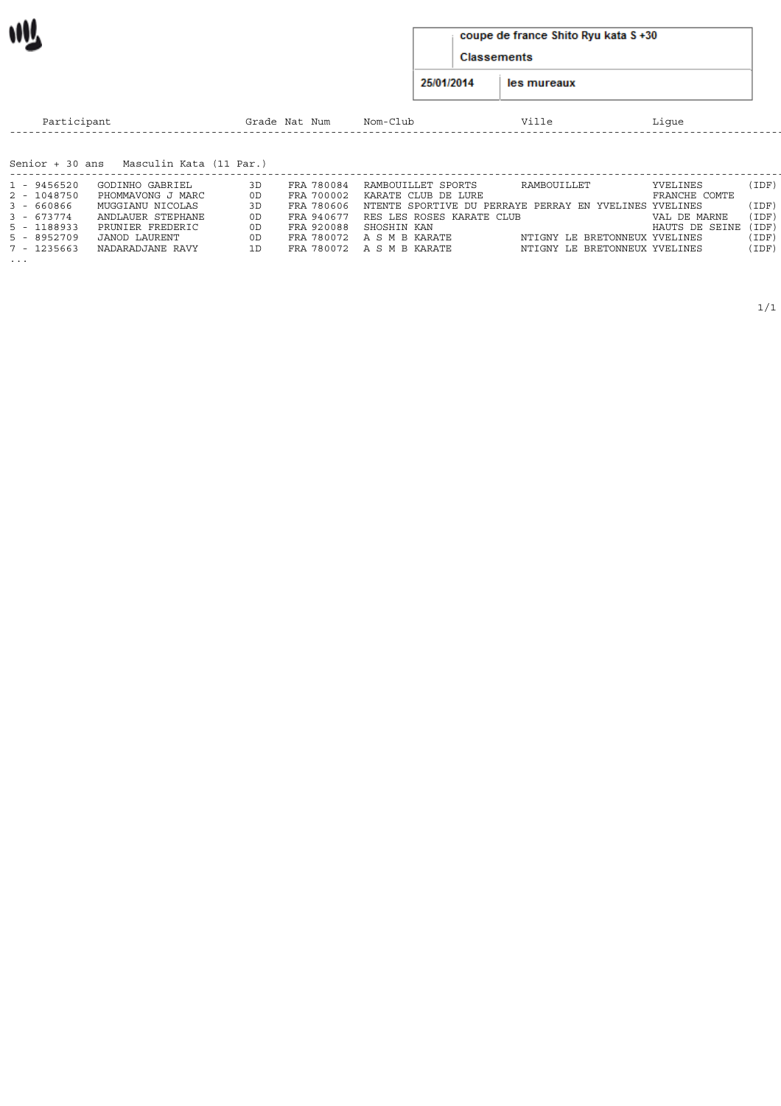#### coupe de france Shito Ryu kata S +30

Classements

25/01/2014 les mureaux

| Participant     |                         |     | Grade Nat Num | Nom-Club                                               | Ville                         | Lique                |       |
|-----------------|-------------------------|-----|---------------|--------------------------------------------------------|-------------------------------|----------------------|-------|
| Senior + 30 ans | Masculin Kata (11 Par.) |     |               |                                                        |                               |                      |       |
|                 |                         |     |               |                                                        |                               |                      |       |
| 1 - 9456520     | GODINHO GABRIEL         | 3D  | FRA 780084    | RAMBOUILLET SPORTS                                     | RAMBOUILLET                   | YVELINES             | (IDF) |
| 2 - 1048750     | PHOMMAVONG J MARC       | 0D. | FRA 700002    | KARATE CLUB DE LURE                                    |                               | FRANCHE COMTE        |       |
| $3 - 660866$    | MUGGIANU NICOLAS        | 3D  | FRA 780606    | NTENTE SPORTIVE DU PERRAYE PERRAY EN YVELINES YVELINES |                               |                      | (IDF) |
| $3 - 673774$    | ANDLAUER STEPHANE       | 0D. |               | FRA 940677 RES LES ROSES KARATE CLUB                   |                               | VAL DE MARNE         | (IDF) |
| 5 - 1188933     | PRUNIER FREDERIC        | 0D. |               | FRA 920088 SHOSHIN KAN                                 |                               | HAUTS DE SEINE (IDF) |       |
| $5 - 8952709$   | JANOD LAURENT           | 0D. |               | FRA 780072 A S M B KARATE                              | NTIGNY LE BRETONNEUX YVELINES |                      | (IDF) |
| 7 - 1235663     | NADARADJANE RAVY        | 1D  |               | FRA 780072 A S M B KARATE                              | NTIGNY LE BRETONNEUX YVELINES |                      | (IDF) |
| $\cdots$        |                         |     |               |                                                        |                               |                      |       |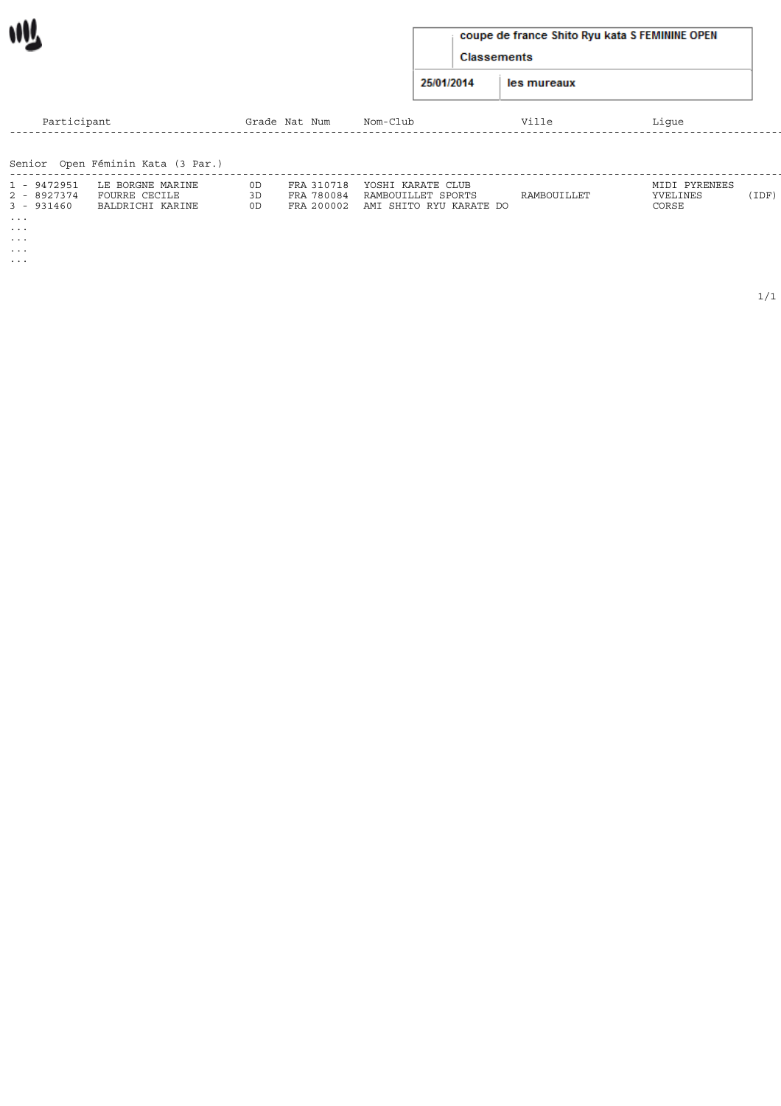| coupe de france Shito Ryu kata S FEMININE OPEN |  |  |
|------------------------------------------------|--|--|
|------------------------------------------------|--|--|

Classements

25/01/2014 les mureaux

| Participant          |                                   |     | Grade Nat Num | Nom-Club                           | Ville       | Lique         |       |
|----------------------|-----------------------------------|-----|---------------|------------------------------------|-------------|---------------|-------|
|                      |                                   |     |               |                                    |             |               |       |
|                      | Senior Open Féminin Kata (3 Par.) |     |               |                                    |             |               |       |
| 1 - 9472951          | LE BORGNE MARINE                  | OD  | FRA 310718    | YOSHI KARATE CLUB                  |             | MIDI PYRENEES |       |
| 2 - 8927374          | FOURRE CECILE                     |     | FRA 780084    | RAMBOUILLET SPORTS                 | RAMBOUILLET | YVELINES      | (IDF) |
| 3 - 931460           | BALDRICHI KARINE                  | 0D. |               | FRA 200002 AMI SHITO RYU KARATE DO |             | CORSE         |       |
| $\sim$ $\sim$ $\sim$ |                                   |     |               |                                    |             |               |       |

... ...

WV.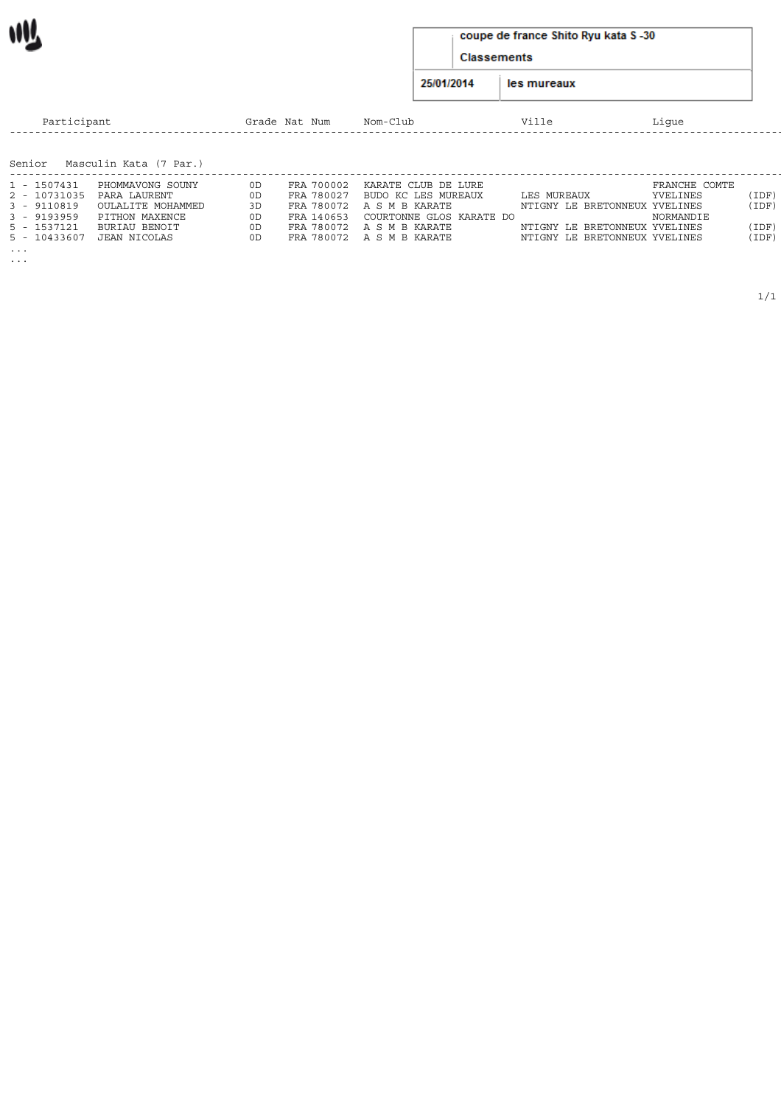|  |  |  | coupe de france Shito Ryu kata S-30 |
|--|--|--|-------------------------------------|
|--|--|--|-------------------------------------|

Classements

25/01/2014 les mureaux

| Participant  |                               |     | Grade Nat Num | Nom-Club                  | Ville                         | Lique         |       |
|--------------|-------------------------------|-----|---------------|---------------------------|-------------------------------|---------------|-------|
|              | Senior Masculin Kata (7 Par.) |     |               |                           |                               |               |       |
|              |                               |     |               |                           |                               |               |       |
| 1 - 1507431  | PHOMMAVONG SOUNY              | 0D. | FRA 700002    | KARATE CLUB DE LURE       |                               | FRANCHE COMTE |       |
|              |                               |     | FRA 780027    |                           | LES MUREAUX                   | YVELINES      |       |
| 2 - 10731035 | PARA LAURENT                  | 0D  |               | BUDO KC LES MUREAUX       |                               |               | (IDF) |
| 3 - 9110819  | OULALITE MOHAMMED             | 3D  |               | FRA 780072 A S M B KARATE | NTIGNY LE BRETONNEUX YVELINES |               | (IDF) |
| 3 - 9193959  | PITHON MAXENCE                | 0D. | FRA 140653    | COURTONNE GLOS KARATE DO  |                               | NORMANDIE     |       |

5 - 10433607 JEAN NICOLAS 0D FRA 780072 A S M B KARATE NTIGNY LE BRETONNEUX YVELINES (IDF)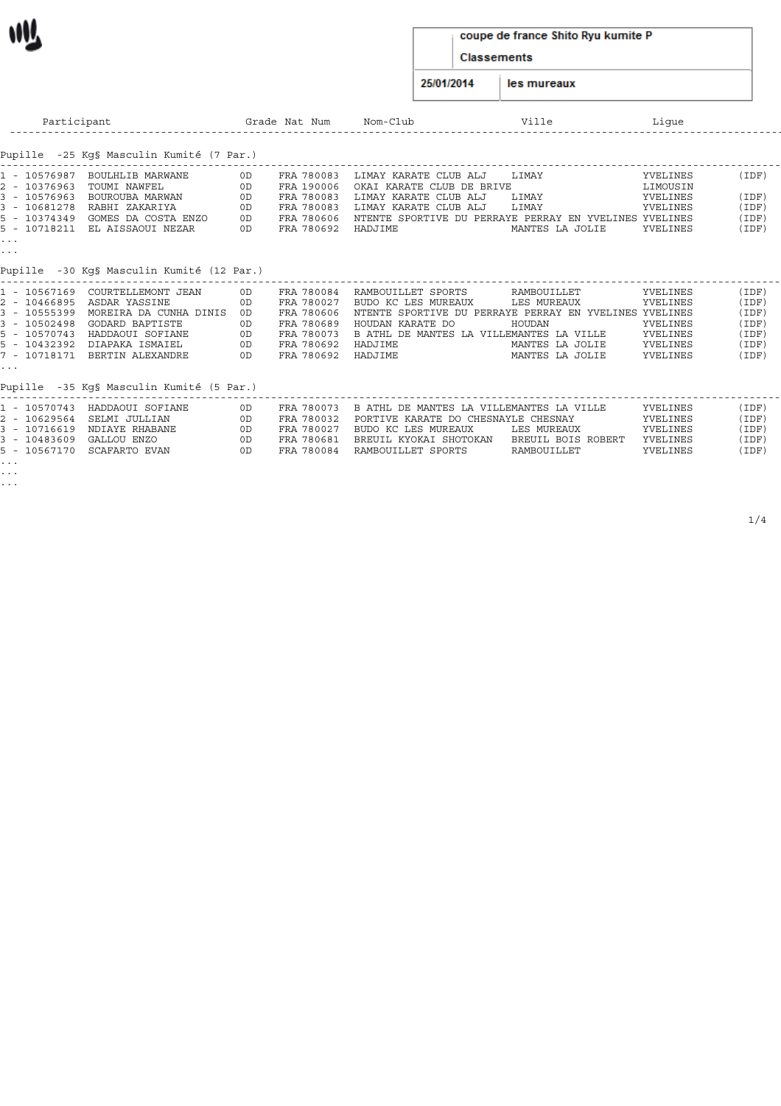#### coupe de france Shito Ryu kumite P

Classements

25/01/2014 les mureaux

| Participant                                                                                                                                                                                                                                                                                                      |                                        | Grade Nat Num                                                                                  | Nom-Club                                                                                                                                                                                  | Ville                                                                      | Lique                                                                |                                                           |
|------------------------------------------------------------------------------------------------------------------------------------------------------------------------------------------------------------------------------------------------------------------------------------------------------------------|----------------------------------------|------------------------------------------------------------------------------------------------|-------------------------------------------------------------------------------------------------------------------------------------------------------------------------------------------|----------------------------------------------------------------------------|----------------------------------------------------------------------|-----------------------------------------------------------|
| Pupille -25 Kq§ Masculin Kumité (7 Par.)                                                                                                                                                                                                                                                                         |                                        |                                                                                                |                                                                                                                                                                                           |                                                                            |                                                                      |                                                           |
| 1 - 10576987 BOULHLIB MARWANE<br>2 - 10376963<br>TOUMI NAWFEL<br>3 - 10576963 BOUROUBA MARWAN<br>3 - 10681278<br>RABHI ZAKARIYA<br>5 - 10374349  GOMES DA COSTA ENZO<br>5 - 10718211 EL AISSAOUI NEZAR<br>$\cdots$<br>$\sim$ $\sim$ $\sim$                                                                       | 0D<br>OD<br>0D<br>0D<br>0D<br>OD       | FRA 780083<br>FRA 190006<br>FRA 780083<br>FRA 780083<br>FRA 780606<br>FRA 780692               | LIMAY KARATE CLUB ALJ<br>OKAI KARATE CLUB DE BRIVE<br>LIMAY KARATE CLUB ALJ<br>LIMAY KARATE CLUB ALJ<br>NTENTE SPORTIVE DU PERRAYE PERRAY EN YVELINES YVELINES<br>HADJIME                 | LIMAY<br>LIMAY<br>LIMAY<br>MANTES LA JOLIE                                 | YVELINES<br>LIMOUSIN<br>YVELINES<br>YVELINES<br>YVELINES             | (IDF)<br>(IDF)<br>(IDF)<br>(IDF)<br>(IDF)                 |
| Pupille -30 Kg§ Masculin Kumité (12 Par.)                                                                                                                                                                                                                                                                        |                                        |                                                                                                |                                                                                                                                                                                           |                                                                            |                                                                      |                                                           |
| 1 - 10567169<br>COURTELLEMONT JEAN<br>2 - 10466895 ASDAR YASSINE<br>3 - 10555399 MOREIRA DA CUNHA DINIS<br>3 - 10502498<br>GODARD BAPTISTE<br>5 - 10570743 HADDAOUI SOFIANE<br>5 - 10432392 DIAPAKA ISMAIEL<br>7 - 10718171 BERTIN ALEXANDRE<br>$\sim$ $\sim$ $\sim$<br>Pupille -35 Kq§ Masculin Kumité (5 Par.) | 0D<br>0D<br>OD<br>0D<br>OD<br>0D<br>OD | FRA 780084<br>FRA 780027<br>FRA 780606<br>FRA 780689<br>FRA 780073<br>FRA 780692<br>FRA 780692 | RAMBOUILLET SPORTS<br>BUDO KC LES MUREAUX<br>NTENTE SPORTIVE DU PERRAYE PERRAY EN YVELINES YVELINES<br>HOUDAN KARATE DO<br>B ATHL DE MANTES LA VILLEMANTES LA VILLE<br>HADJIME<br>HADJIME | RAMBOUILLET<br>LES MUREAUX<br>HOUDAN<br>MANTES LA JOLIE<br>MANTES LA JOLIE | YVELINES<br>YVELINES<br>YVELINES<br>YVELINES<br>YVELINES<br>YVELINES | (IDF)<br>(IDF<br>(IDF<br>(IDF)<br>(IDF)<br>(IDF)<br>(IDF) |
| 1 10570743 ULDRADIT CORTANT                                                                                                                                                                                                                                                                                      |                                        |                                                                                                | הידדנו גם מהחדוגות והדונו גם מהחדוגון התיחדות גם כרמממה גתהו                                                                                                                              |                                                                            | $\frac{1}{2}$                                                        | (TDM)                                                     |

|                          | 1 - 10570743 HADDAOUI SOFIANE | 0D. | FRA 780073 B ATHL DE MANTES LA VILLEMANTES LA VILLE |                    | YVELINES | (IDF) |
|--------------------------|-------------------------------|-----|-----------------------------------------------------|--------------------|----------|-------|
|                          | 2 - 10629564 SELMI JULLIAN    | 0D. | FRA 780032 PORTIVE KARATE DO CHESNAYLE CHESNAY      |                    | YVELINES | (IDF) |
|                          | 3 - 10716619 NDIAYE RHABANE   | 0D. | FRA 780027 BUDO KC LES MUREAUX                      | LES MUREAUX        | YVELINES | (IDF) |
| 3 - 10483609 GALLOU ENZO |                               | 0D. | FRA 780681 BREUIL KYOKAI SHOTOKAN                   | BREUIL BOIS ROBERT | YVELINES | (IDF) |
|                          | 5 - 10567170 SCAFARTO EVAN    | 0D. | FRA 780084 RAMBOUILLET SPORTS                       | RAMBOUILLET        | YVELINES | (IDF) |
| $\cdots$                 |                               |     |                                                     |                    |          |       |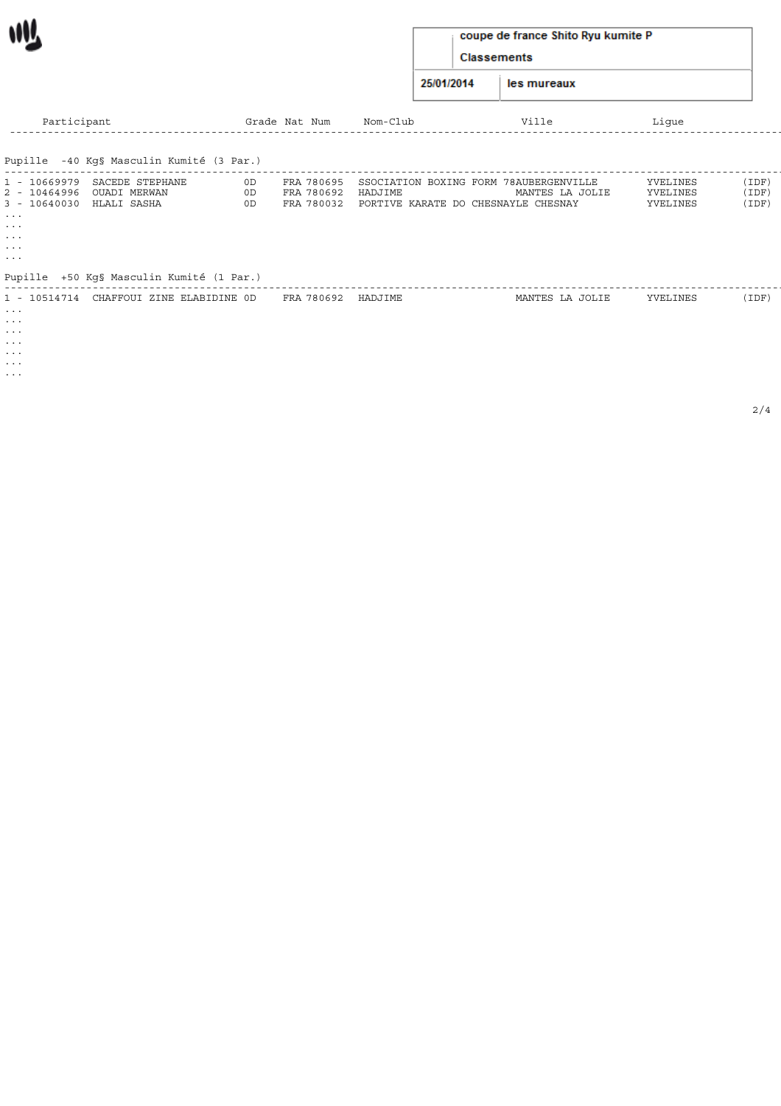| coupe de france Shito Ryu kumite P |
|------------------------------------|
| <b>Classements</b>                 |

25/01/2014 les mureaux

| Participant                                                                                                                                                                      | Grade Nat Num                              | Nom-Club                                                                                            | Ville           | Lique                            |                         |
|----------------------------------------------------------------------------------------------------------------------------------------------------------------------------------|--------------------------------------------|-----------------------------------------------------------------------------------------------------|-----------------|----------------------------------|-------------------------|
| Pupille -40 Kg§ Masculin Kumité (3 Par.)                                                                                                                                         |                                            |                                                                                                     |                 |                                  |                         |
| 1 - 10669979 SACEDE STEPHANE<br>OUADI MERWAN<br>2 - 10464996<br>3 - 10640030 HLALI SASHA<br>$\sim$ $\sim$ $\sim$<br>$\cdots$<br>$\cdots$<br>$\cdots$<br>$\sim$ $\sim$ $\sim$     | 0D<br>FRA 780695<br>0D<br>FRA 780692<br>0D | SSOCIATION BOXING FORM 78AUBERGENVILLE<br>HADJIME<br>FRA 780032 PORTIVE KARATE DO CHESNAYLE CHESNAY | MANTES LA JOLIE | YVELINES<br>YVELINES<br>YVELINES | (IDF)<br>(IDF)<br>(IDF) |
| Pupille +50 Kg§ Masculin Kumité (1 Par.)                                                                                                                                         |                                            |                                                                                                     |                 |                                  |                         |
| 1 - 10514714 CHAFFOUI ZINE ELABIDINE OD<br>$\bullet$ , $\bullet$ , $\bullet$ .<br>$\cdots$<br>$\sim$ $\sim$ $\sim$<br>$\sim$ $\sim$ $\sim$ $\sim$<br>$\sim$ $\sim$ $\sim$ $\sim$ | FRA 780692 HADJIME                         |                                                                                                     | MANTES LA JOLIE | YVELINES                         | (IDF)                   |

... ...

W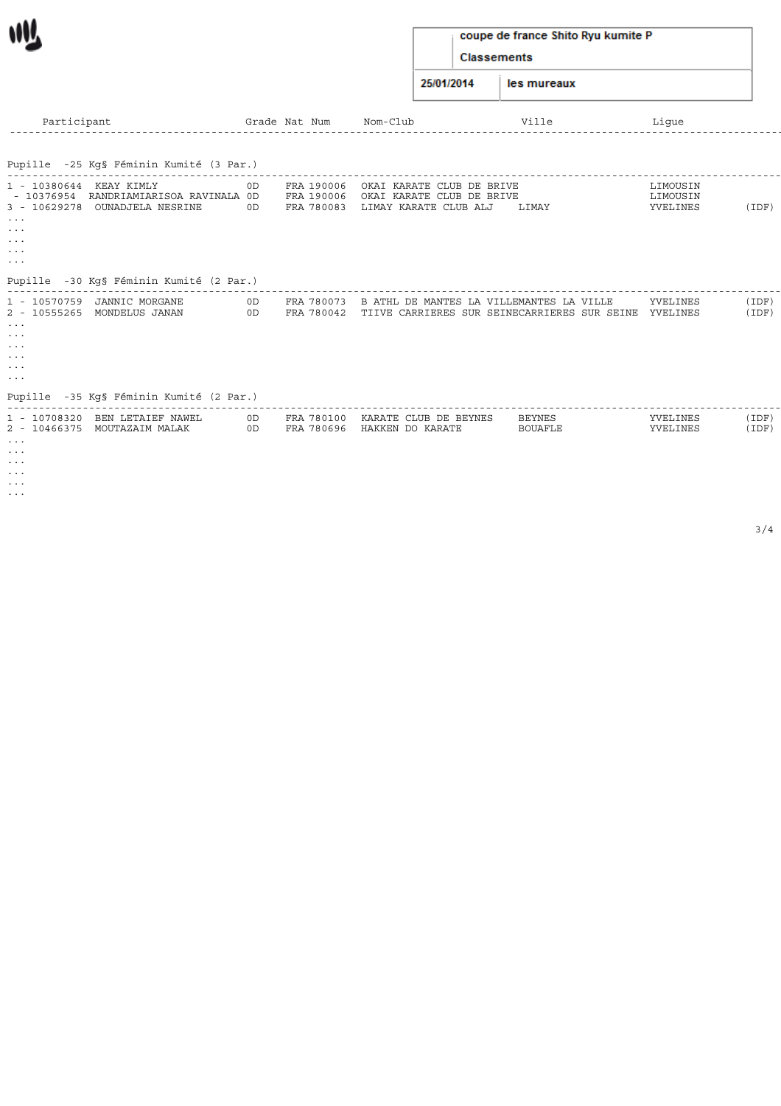## coupe de france Shito Ryu kumite P

Classements

25/01/2014 les mureaux

| Participant                                                                                                                               |                                                                                          |          | Grade Nat Num                          | Nom-Club                                                                                            | Ville                    | Lique                            |                |
|-------------------------------------------------------------------------------------------------------------------------------------------|------------------------------------------------------------------------------------------|----------|----------------------------------------|-----------------------------------------------------------------------------------------------------|--------------------------|----------------------------------|----------------|
|                                                                                                                                           | Pupille -25 Kg§ Féminin Kumité (3 Par.)                                                  |          |                                        |                                                                                                     |                          |                                  |                |
| 1 - 10380644 KEAY KIMLY<br>$3 - 10629278$<br>$\sim$ $\sim$ $\sim$<br>$\cdots$<br>$\sim$ $\sim$ $\sim$<br>$\cdots$<br>$\sim$ $\sim$ $\sim$ | - 10376954 RANDRIAMIARISOA RAVINALA OD<br>OUNADJELA NESRINE                              | 0D<br>0D | FRA 190006<br>FRA 190006<br>FRA 780083 | OKAI KARATE CLUB DE BRIVE<br>OKAI KARATE CLUB DE BRIVE<br>LIMAY KARATE CLUB ALJ                     | LIMAY                    | LIMOUSIN<br>LIMOUSIN<br>YVELINES | (IDF)          |
|                                                                                                                                           | Pupille -30 Kg§ Féminin Kumité (2 Par.)                                                  |          |                                        |                                                                                                     |                          |                                  |                |
| 1 - 10570759<br>$\cdots$<br>$\cdots$<br>$\sim$ $\sim$ $\sim$<br>$\sim$ $\sim$ $\sim$<br>$\cdots$<br>$\sim$ $\sim$ $\sim$                  | JANNIC MORGANE<br>2 - 10555265 MONDELUS JANAN<br>Pupille -35 Kg§ Féminin Kumité (2 Par.) | 0D<br>OD | FRA 780073                             | B ATHL DE MANTES LA VILLEMANTES LA VILLE<br>FRA 780042 TIIVE CARRIERES SUR SEINECARRIERES SUR SEINE |                          | YVELINES<br>YVELINES             | (IDF)<br>(IDF) |
| $\cdots$<br>$\cdots$<br>$\sim$ $\sim$ $\sim$<br>$\cdots$<br>$\cdots$                                                                      | 1 - 10708320 BEN LETAIEF NAWEL<br>2 - 10466375 MOUTAZAIM MALAK                           | 0D<br>OD | FRA 780696                             | FRA 780100 KARATE CLUB DE BEYNES<br>HAKKEN DO KARATE                                                | BEYNES<br><b>BOUAFLE</b> | YVELINES<br>YVELINES             | (IDF)<br>(IDF) |

...

M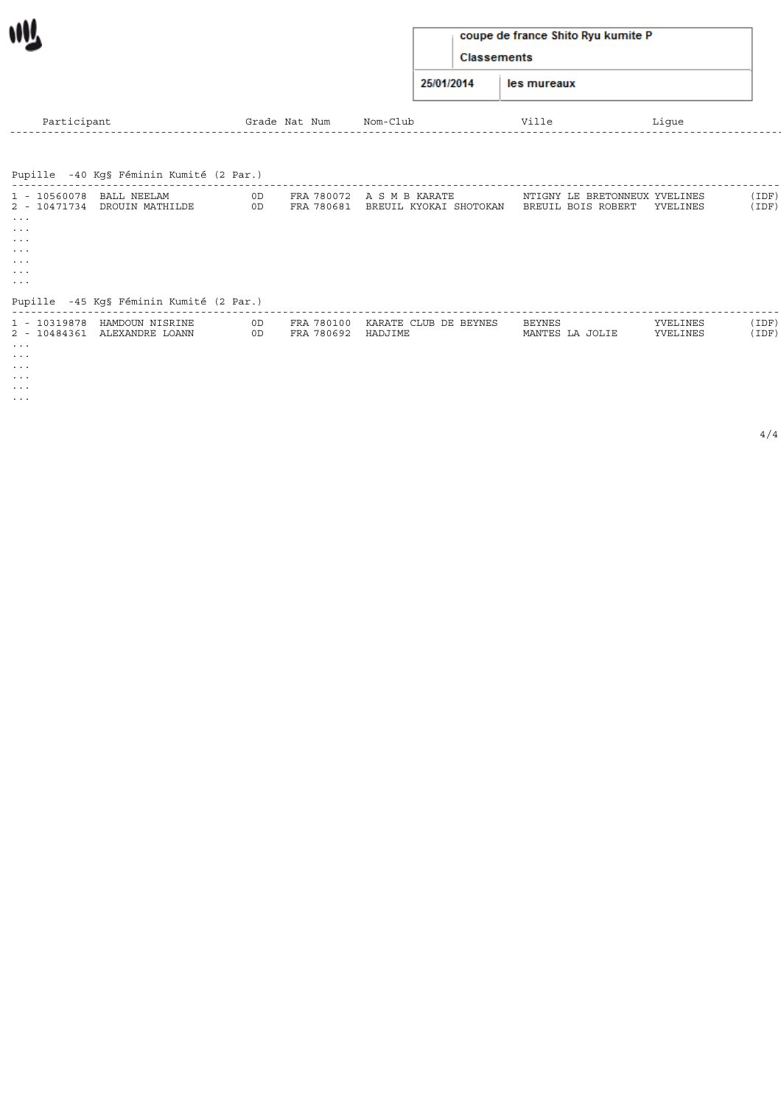| coupe de france Shito Ryu kumite P |  |  |
|------------------------------------|--|--|
|------------------------------------|--|--|

Classements

25/01/2014 les mureaux

| Participant                                                  |                                                 |          | Grade Nat Num                    | Nom-Club                                                       | Ville                                               | Lique                |                |
|--------------------------------------------------------------|-------------------------------------------------|----------|----------------------------------|----------------------------------------------------------------|-----------------------------------------------------|----------------------|----------------|
|                                                              |                                                 |          |                                  |                                                                |                                                     |                      |                |
|                                                              | Pupille -40 Kg§ Féminin Kumité (2 Par.)         |          |                                  |                                                                |                                                     |                      |                |
| 1 - 10560078 BALL NEELAM<br>$\cdots$<br>$\cdots$<br>$\cdots$ | 2 - 10471734 DROUIN MATHILDE                    | 0D<br>OD |                                  | FRA 780072 A S M B KARATE<br>FRA 780681 BREUIL KYOKAI SHOTOKAN | NTIGNY LE BRETONNEUX YVELINES<br>BREUIL BOIS ROBERT | YVELINES             | (IDF)<br>(IDF) |
| $\cdots$<br>$\cdots$<br>$\cdots$<br>$\cdots$                 |                                                 |          |                                  |                                                                |                                                     |                      |                |
|                                                              | Pupille -45 Kg§ Féminin Kumité (2 Par.)         |          |                                  |                                                                |                                                     |                      |                |
| 1 - 10319878<br>$\cdots$<br>$\cdots$<br>$\cdots$<br>$\cdots$ | HAMDOUN NISRINE<br>2 - 10484361 ALEXANDRE LOANN | 0D<br>0D | FRA 780100<br>FRA 780692 HADJIME | KARATE CLUB DE BEYNES                                          | BEYNES<br>MANTES LA JOLIE                           | YVELINES<br>YVELINES | (IDF)<br>(IDF) |

... ...

WV.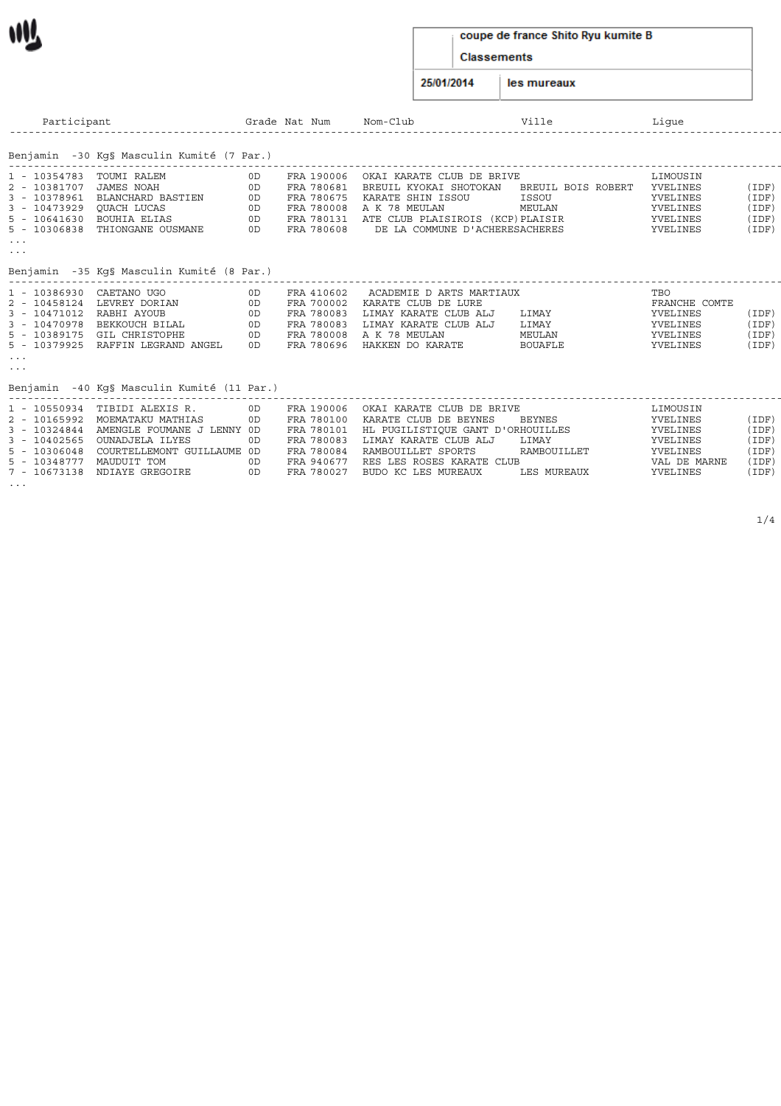#### coupe de france Shito Ryu kumite B

**Classements** 

25/01/2014 les mureaux

Participant Grade Nat Num Nom-Club Ville Ligue ------------------------------------------------------------------------------------------------------------------------------------------------------------------------------------------------------------------------------ Benjamin -30 Kg§ Masculin Kumité (7 Par.) ------------------------------------------------------------------------------------------------------------------------------------------------------------------------------------------------------------------------------ 1 - 10354783 TOUMI RALEM 0D FRA 190006 OKAI KARATE CLUB DE BRIVE LIMOUSIN 2 - 10381707 JAMES NOAH 0D FRA 780681 BREUIL KYOKAI SHOTOKAN BREUIL BOIS ROBERT YVELINES (IDF) 3 - 10378961 BLANCHARD BASTIEN 0D FRA 780675 KARATE SHIN ISSOU ISSOU YVELINES (IDF) 3 - 10473929 QUACH LUCAS 0D FRA 780008 A K 78 MEULAN MEULAN YVELINES (IDF) 5 - 10641630 BOUHIA ELIAS 0D FRA 780131 ATE CLUB PLAISIROIS (KCP)PLAISIR YVELINES (IDF) 5 - 10306838 THIONGANE OUSMANE 0D FRA 780608 DE LA COMMUNE D'ACHERESACHERES YVELINES (IDF) 3 - 10473929 QUACH LUCAS<br>5 - 10641630 BOUHIA ELIAS<br>5 - 10306838 THIONGANE OUSMANE Benjamin -35 Kg§ Masculin Kumité (8 Par.) ------------------------------------------------------------------------------------------------------------------------------------------------------------------------------------------------------------------------------ 1 - 10386930 CAETANO UGO 0D FRA 410602 ACADEMIE D ARTS MARTIAUX TBO 2 - 10458124 LEVREY DORIAN 0D FRA 700002 KARATE CLUB DE LURE FRANCHE COMTE 3 - 10471012 RABHI AYOUB 0D FRA 780083 LIMAY KARATE CLUB ALJ LIMAY YVELINES (IDF) 3 - 10470978 BEKKOUCH BILAL 0D FRA 780083 LIMAY KARATE CLUB ALJ LIMAY YVELINES (IDF) 5 - 10389175 GIL CHRISTOPHE 0D FRA 780008 A K 78 MEULAN MEULAN YVELINES (IDF) 5 - 10379925 RAFFIN LEGRAND ANGEL 0D FRA 780696 HAKKEN DO KARATE BOUAFLE YVELINES (IDF)

Benjamin -40 Kg§ Masculin Kumité (11 Par.)

...

|                          | 1 - 10550934 TIBIDI ALEXIS R.           | 0D.            | FRA 190006 | OKAI KARATE CLUB DE BRIVE                    | LIMOUSIN     |       |
|--------------------------|-----------------------------------------|----------------|------------|----------------------------------------------|--------------|-------|
|                          | 2 - 10165992 MOEMATAKU MATHIAS          | 0D             | FRA 780100 | KARATE CLUB DE BEYNES BEYNES                 | YVELINES     | (IDF) |
| $3 - 10324844$           | AMENGLE FOUMANE J LENNY OD              |                |            | FRA 780101 HL PUGILISTIOUE GANT D'ORHOUILLES | YVELINES     | (IDF) |
| 3 - 10402565             | OUNADJELA ILYES                         | 0 <sub>D</sub> | FRA 780083 | LIMAY KARATE CLUB ALJ    LIMAY               | YVELINES     | (IDF) |
|                          | 5 - 10306048 COURTELLEMONT GUILLAUME OD |                | FRA 780084 | RAMBOUILLET SPORTS<br>RAMBOUILLET            | YVELINES     | (IDF) |
| 5 - 10348777 MAUDUIT TOM |                                         | 0D.            |            | FRA 940677 RES LES ROSES KARATE CLUB         | VAL DE MARNE | (IDF) |
|                          | 7 - 10673138 NDIAYE GREGOIRE            | 0 <sub>D</sub> | FRA 780027 | BUDO KC LES MUREAUX<br>LES MUREAUX           | YVELINES     | (IDF) |
| $\cdots$                 |                                         |                |            |                                              |              |       |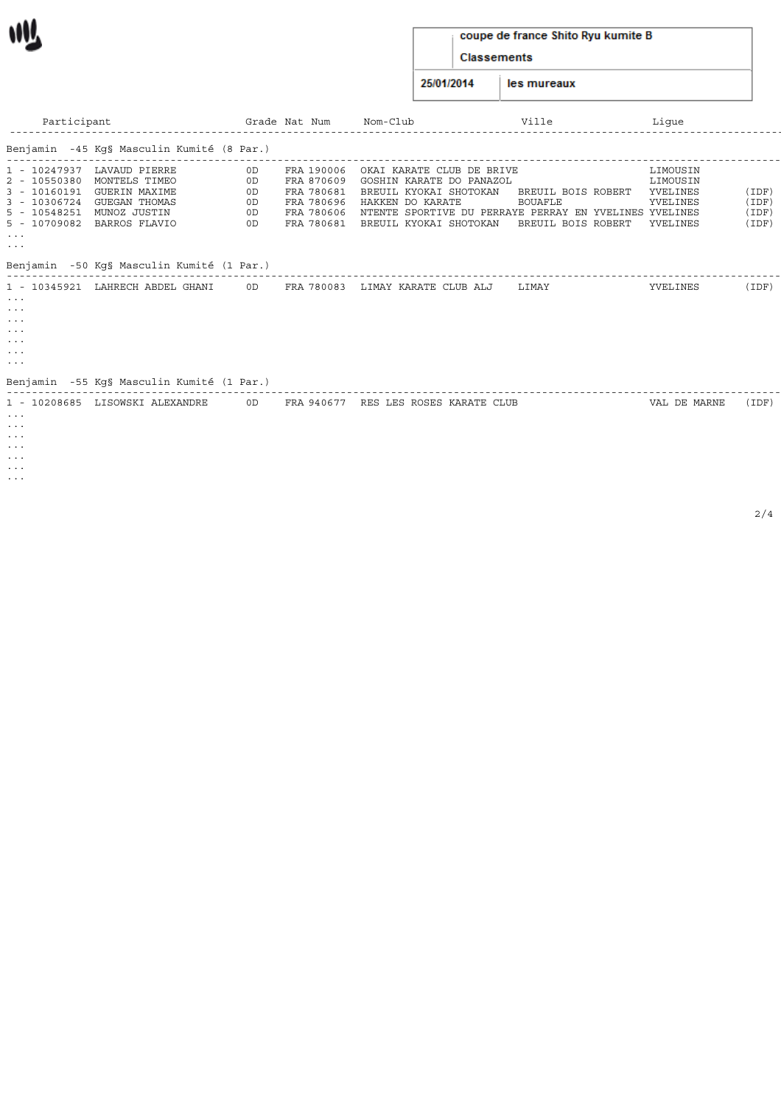| coupe de france Shito Ryu kumite B |  |  |  |  |  |  |
|------------------------------------|--|--|--|--|--|--|
|------------------------------------|--|--|--|--|--|--|

Classements

25/01/2014 les mureaux

| Participant                                                                                                  |                                                                                                                                                                                           |                                  | Grade Nat Num                                                                    | Nom-Club                                                                                                                                                                                | Ville                                                      | Lique                                                    |                              |
|--------------------------------------------------------------------------------------------------------------|-------------------------------------------------------------------------------------------------------------------------------------------------------------------------------------------|----------------------------------|----------------------------------------------------------------------------------|-----------------------------------------------------------------------------------------------------------------------------------------------------------------------------------------|------------------------------------------------------------|----------------------------------------------------------|------------------------------|
|                                                                                                              | Benjamin -45 Kg§ Masculin Kumité (8 Par.)                                                                                                                                                 |                                  |                                                                                  |                                                                                                                                                                                         |                                                            |                                                          |                              |
| 1 - 10247937<br>2 - 10550380<br>$\cdots$<br>$\cdots$<br>Benjamin                                             | LAVAUD PIERRE<br>MONTELS TIMEO<br>3 - 10160191 GUERIN MAXIME<br>3 - 10306724 GUEGAN THOMAS<br>5 - 10548251 MUNOZ JUSTIN<br>5 - 10709082 BARROS FLAVIO<br>-50 Kg§ Masculin Kumité (1 Par.) | 0D<br>0D<br>0D<br>0D<br>0D<br>0D | FRA 190006<br>FRA 870609<br>FRA 780681<br>FRA 780696<br>FRA 780606<br>FRA 780681 | OKAI KARATE CLUB DE BRIVE<br>GOSHIN KARATE DO PANAZOL<br>BREUIL KYOKAI SHOTOKAN<br>HAKKEN DO KARATE<br>NTENTE SPORTIVE DU PERRAYE PERRAY EN YVELINES YVELINES<br>BREUIL KYOKAI SHOTOKAN | BREUIL BOIS ROBERT<br><b>BOUAFLE</b><br>BREUIL BOIS ROBERT | LIMOUSIN<br>LIMOUSIN<br>YVELINES<br>YVELINES<br>YVELINES | (IDF<br>(IDF<br>(IDF<br>(IDF |
| 1 - 10345921<br>$\cdots$<br>$\cdots$<br>$\cdots$<br>$\cdots$<br>$\cdots$<br>$\cdots$<br>$\cdots$<br>Benjamin | LAHRECH ABDEL GHANI<br>-55 Kq§ Masculin Kumité (1 Par.)                                                                                                                                   | 0D.                              | FRA 780083                                                                       | LIMAY KARATE CLUB ALJ                                                                                                                                                                   | LIMAY                                                      | YVELINES                                                 | (IDF                         |
| 1 - 10208685<br>$\cdots$<br>$\cdots$                                                                         | LISOWSKI ALEXANDRE                                                                                                                                                                        | 0D.                              | FRA 940677                                                                       | RES LES ROSES KARATE CLUB                                                                                                                                                               |                                                            | VAL DE MARNE                                             | (IDF                         |

... ... ...

... ...

WV.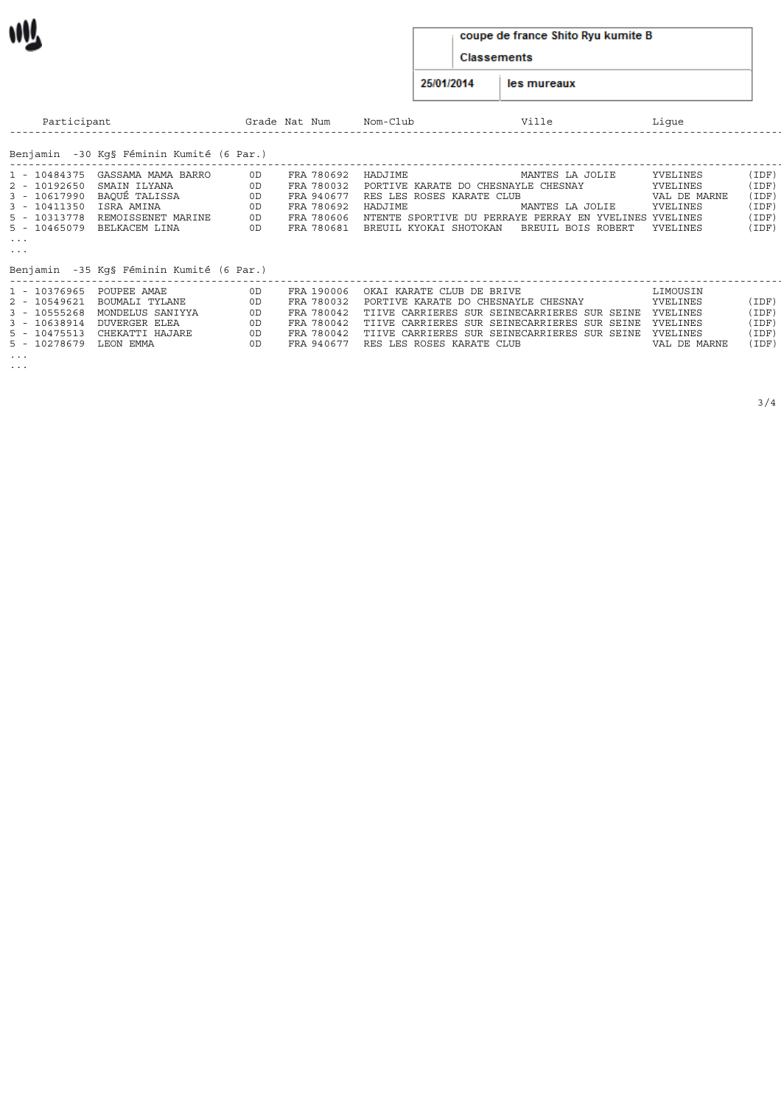#### coupe de france Shito Ryu kumite B

Classements

25/01/2014 les mureaux

| Participant                  |                                          |          | Grade Nat Num            | Nom-Club                                       | Ville              | Lique                |                |
|------------------------------|------------------------------------------|----------|--------------------------|------------------------------------------------|--------------------|----------------------|----------------|
|                              | Benjamin -30 Kq§ Féminin Kumité (6 Par.) |          |                          |                                                |                    |                      |                |
| 1 - 10484375                 | GASSAMA MAMA BARRO<br>SMAIN ILYANA       | 0D<br>0D | FRA 780692<br>FRA 780032 | HADJIME<br>PORTIVE KARATE DO CHESNAYLE CHESNAY | MANTES LA JOLIE    | YVELINES<br>YVELINES | (IDF)<br>(IDF) |
| 2 - 10192650<br>3 - 10617990 | BAQUÉ TALISSA                            | 0D       | FRA 940677               | RES LES ROSES KARATE CLUB                      |                    | VAL DE MARNE         | (IDF)          |
| 3 - 10411350                 | ISRA AMINA                               | 0D       | FRA 780692               | HADJIME                                        | MANTES LA JOLIE    | YVELINES             | (IDF)          |
| 5 - 10313778                 | REMOISSENET MARINE                       | 0D       | FRA 780606               | NTENTE SPORTIVE DU PERRAYE PERRAY EN YVELINES  |                    | YVELINES             | (IDF)          |
| 5 - 10465079                 | BELKACEM LINA                            | 0D       | FRA 780681               | BREUIL KYOKAI SHOTOKAN                         | BREUIL BOIS ROBERT | YVELINES             | (IDF)          |
| $\sim$ $\sim$ $\sim$         |                                          |          |                          |                                                |                    |                      |                |
| $\sim$ $\sim$ $\sim$         |                                          |          |                          |                                                |                    |                      |                |
|                              | Benjamin -35 Kq§ Féminin Kumité (6 Par.) |          |                          |                                                |                    |                      |                |
|                              |                                          |          |                          |                                                |                    |                      |                |
|                              | 1 - 10376965 POUPEE AMAE                 | 0D       | FRA 190006               | OKAI KARATE CLUB DE BRIVE                      |                    | LIMOUSIN             |                |
| 2 - 10549621                 | BOUMALI TYLANE                           | 0D       | FRA 780032               | PORTIVE KARATE DO CHESNAYLE CHESNAY            |                    | YVELINES             | (IDF)          |
| 3 - 10555268                 | MONDELUS SANIYYA                         | 0D       | FRA 780042               | TIIVE CARRIERES SUR SEINECARRIERES SUR SEINE   |                    | YVELINES             | (IDF)          |
| 3 - 10638914                 | <b>DUVERGER ELEA</b>                     | 0D       | FRA 780042               | TIIVE CARRIERES SUR SEINECARRIERES SUR SEINE   |                    | YVELINES             | (IDF)          |
| 5 - 10475513                 | CHEKATTI HAJARE                          | 0D       | FRA 780042               | TIIVE CARRIERES SUR SEINECARRIERES SUR SEINE   |                    | YVELINES             | (IDF)          |
| 5 - 10278679                 | LEON EMMA                                |          | FRA 940677               | RES LES ROSES KARATE CLUB                      |                    | VAL DE MARNE         | (IDF)          |

... ...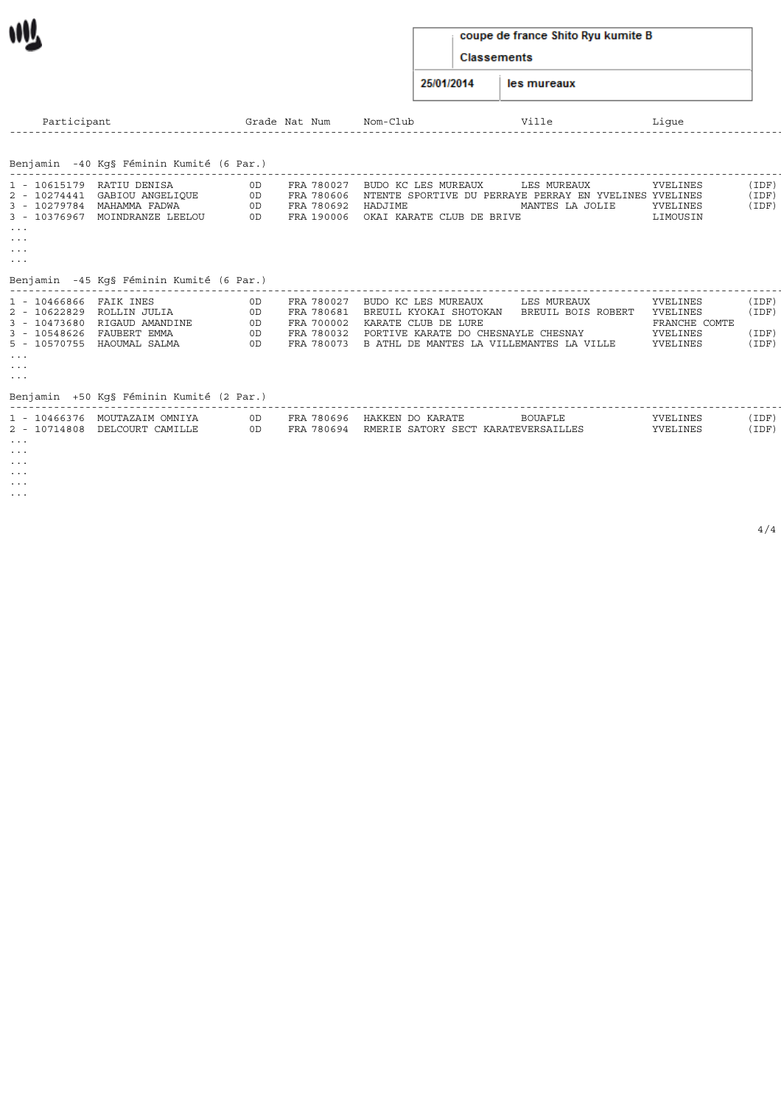#### coupe de france Shito Ryu kumite B

Classements

25/01/2014 les mureaux

| Participant                                                                                                                        |                                                                                                                  | Grade                      | Nat Num                                                            | Nom-Club                                                                                                                                                | Ville                             | Lique                                                         |                                  |
|------------------------------------------------------------------------------------------------------------------------------------|------------------------------------------------------------------------------------------------------------------|----------------------------|--------------------------------------------------------------------|---------------------------------------------------------------------------------------------------------------------------------------------------------|-----------------------------------|---------------------------------------------------------------|----------------------------------|
|                                                                                                                                    |                                                                                                                  |                            |                                                                    |                                                                                                                                                         |                                   |                                                               |                                  |
|                                                                                                                                    | Benjamin -40 Kg§ Féminin Kumité (6 Par.)                                                                         |                            |                                                                    |                                                                                                                                                         |                                   |                                                               |                                  |
| 1 - 10615179<br>3 - 10376967<br>$\cdots$<br>$\cdots$<br>$\cdots$<br>$\cdots$                                                       | RATIU DENISA<br>2 - 10274441 GABIOU ANGELIQUE<br>3 - 10279784 MAHAMMA FADWA<br>MOINDRANZE LEELOU                 | 0D<br>0D<br>0D<br>0D       | FRA 780027<br>FRA 780606<br>FRA 780692<br>FRA 190006               | BUDO KC LES MUREAUX<br>NTENTE SPORTIVE DU PERRAYE PERRAY EN YVELINES YVELINES<br>HADJIME<br>OKAI KARATE CLUB DE BRIVE                                   | LES MUREAUX<br>MANTES LA JOLIE    | YVELINES<br>YVELINES<br>LIMOUSIN                              | (IDF)<br>(IDF)<br>(IDF)          |
| Benjamin                                                                                                                           | -45 Kq§ Féminin Kumité (6 Par.)                                                                                  |                            |                                                                    |                                                                                                                                                         |                                   |                                                               |                                  |
| 1 - 10466866 FAIK INES<br>2 - 10622829<br>3 - 10473680<br>3 - 10548626<br>$\cdots$<br>$\cdots$<br>$\sim$ $\sim$ $\sim$<br>Benjamin | ROLLIN JULIA<br>RIGAUD AMANDINE<br>FAUBERT EMMA<br>5 - 10570755 HAOUMAL SALMA<br>+50 Kq§ Féminin Kumité (2 Par.) | 0D<br>0D<br>0D<br>0D<br>OD | FRA 780027<br>FRA 780681<br>FRA 700002<br>FRA 780032<br>FRA 780073 | BUDO KC LES MUREAUX<br>BREUIL KYOKAI SHOTOKAN<br>KARATE CLUB DE LURE<br>PORTIVE KARATE DO CHESNAYLE CHESNAY<br>B ATHL DE MANTES LA VILLEMANTES LA VILLE | LES MUREAUX<br>BREUIL BOIS ROBERT | YVELINES<br>YVELINES<br>FRANCHE COMTE<br>YVELINES<br>YVELINES | (IDF)<br>(IDF)<br>(IDF)<br>(IDF) |
| $\cdots$<br>$\cdots$                                                                                                               | 1 - 10466376 MOUTAZAIM OMNIYA<br>2 - 10714808 DELCOURT CAMILLE                                                   | 0D<br>0D                   | FRA 780696<br>FRA 780694                                           | HAKKEN DO KARATE<br>RMERIE SATORY SECT KARATEVERSAILLES                                                                                                 | <b>BOUAFLE</b>                    | YVELINES<br>YVELINES                                          | (IDF)<br>(IDF)                   |

... ... ... ...

W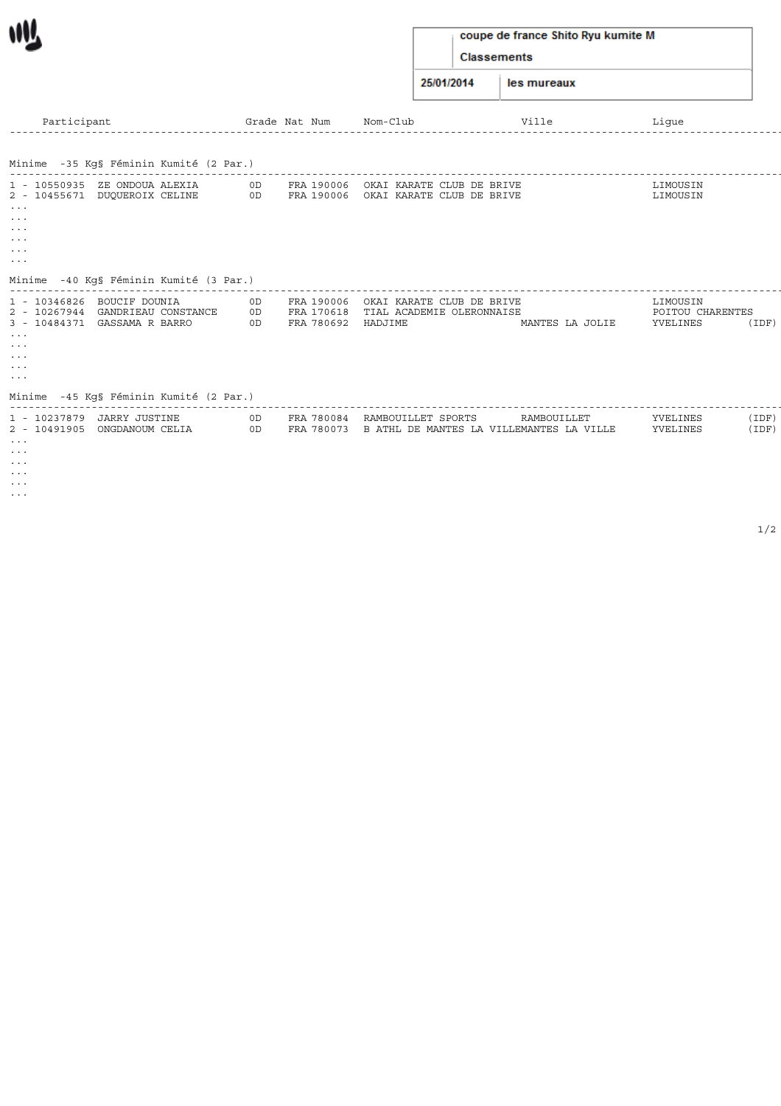## coupe de france Shito Ryu kumite M

Classements

25/01/2014 les mureaux

| Participant                                                                                                                                                                                                                                                         |                | Grade Nat Num                          | Nom-Club                                                                             | Ville           | Lique                                    |                |
|---------------------------------------------------------------------------------------------------------------------------------------------------------------------------------------------------------------------------------------------------------------------|----------------|----------------------------------------|--------------------------------------------------------------------------------------|-----------------|------------------------------------------|----------------|
| Minime -35 Kq§ Féminin Kumité (2 Par.)                                                                                                                                                                                                                              |                |                                        |                                                                                      |                 |                                          |                |
| 1 - 10550935 ZE ONDOUA ALEXIA<br>2 - 10455671 DUQUEROIX CELINE<br>$\sim$ $\sim$ $\sim$<br>$\sim$ $\sim$ $\sim$<br>$\sim$ $\sim$ $\sim$<br>$\sim$ $\sim$ $\sim$<br>$\sim$ $\sim$ $\sim$<br>$\sim$ $\sim$ $\sim$                                                      | OD<br>OD       |                                        | FRA 190006 OKAI KARATE CLUB DE BRIVE<br>FRA 190006 OKAI KARATE CLUB DE BRIVE         |                 | LIMOUSIN<br>LIMOUSIN                     |                |
| Minime<br>-40 Kq§ Féminin Kumité (3 Par.)                                                                                                                                                                                                                           |                |                                        |                                                                                      |                 |                                          |                |
| 1 - 10346826<br>BOUCIF DOUNIA<br>2 - 10267944 GANDRIEAU CONSTANCE<br>3 - 10484371 GASSAMA R BARRO<br>$\sim$ $\sim$ $\sim$<br>$\sim$ $\sim$ $\sim$<br>$\sim$ $\sim$ $\sim$<br>$\sim$ $\sim$ $\sim$<br>$\sim$ $\sim$ $\sim$<br>Minime -45 Kq§ Féminin Kumité (2 Par.) | 0D<br>0D<br>OD | FRA 190006<br>FRA 170618<br>FRA 780692 | OKAI KARATE CLUB DE BRIVE<br>TIAL ACADEMIE OLERONNAISE<br>HADJIME                    | MANTES LA JOLIE | LIMOUSIN<br>POITOU CHARENTES<br>YVELINES | (IDF)          |
| 1 - 10237879 JARRY JUSTINE<br>2 - 10491905 ONGDANOUM CELIA<br>$\sim$ $\sim$ $\sim$<br>$\sim$ $\sim$ $\sim$<br>$\sim$ $\sim$ $\sim$<br>$\sim$ $\sim$ $\sim$<br>$\sim$ $\sim$ $\sim$                                                                                  | 0D<br>OD       |                                        | FRA 780084 RAMBOUILLET SPORTS<br>FRA 780073 B ATHL DE MANTES LA VILLEMANTES LA VILLE | RAMBOUILLET     | YVELINES<br>YVELINES                     | (IDF)<br>(IDF) |

...

W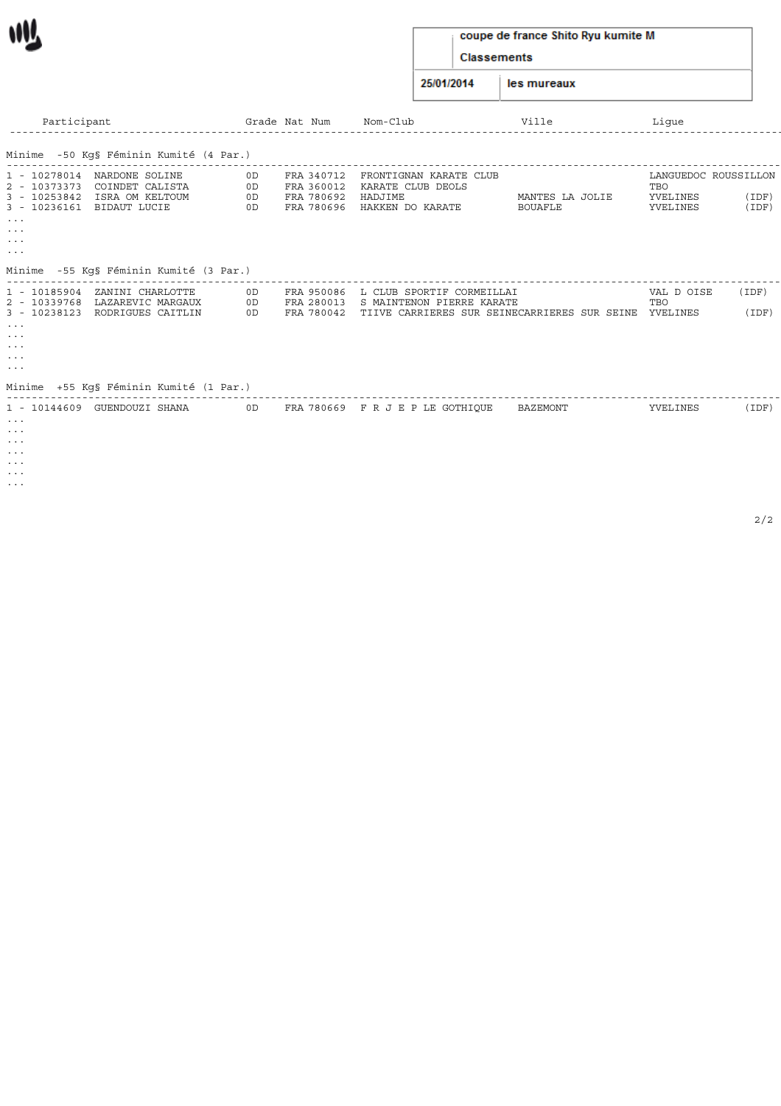## coupe de france Shito Ryu kumite M

Classements

25/01/2014 les mureaux

| Participant                                                                                                                                                                                         |                      | Grade Nat Num                                        | Nom-Club                                                                   | Ville                      | Lique                                               |                |
|-----------------------------------------------------------------------------------------------------------------------------------------------------------------------------------------------------|----------------------|------------------------------------------------------|----------------------------------------------------------------------------|----------------------------|-----------------------------------------------------|----------------|
| Minime -50 Kq§ Féminin Kumité (4 Par.)                                                                                                                                                              |                      |                                                      |                                                                            |                            |                                                     |                |
| 1 - 10278014 NARDONE SOLINE<br>2 - 10373373<br>COINDET CALISTA<br>3 - 10253842 ISRA OM KELTOUM<br>3 - 10236161 BIDAUT LUCIE<br>$\sim$ $\sim$ $\sim$<br>$\cdots$<br>$\cdots$<br>$\sim$ $\sim$ $\sim$ | 0D<br>OD<br>OD<br>OD | FRA 340712<br>FRA 360012<br>FRA 780692<br>FRA 780696 | FRONTIGNAN KARATE CLUB<br>KARATE CLUB DEOLS<br>HADJIME<br>HAKKEN DO KARATE | MANTES LA JOLIE<br>BOUAFLE | LANGUEDOC ROUSSILLON<br>TBO<br>YVELINES<br>YVELINES | (IDF)<br>(IDF) |
| Minime -55 Kq§ Féminin Kumité (3 Par.)                                                                                                                                                              |                      |                                                      |                                                                            |                            |                                                     |                |
| 1 - 10185904 ZANINI CHARLOTTE<br>2 - 10339768 LAZAREVIC MARGAUX                                                                                                                                     | 0D<br>OD             | FRA 950086                                           | L CLUB SPORTIF CORMEILLAI<br>FRA 280013 S MAINTENON PIERRE KARATE          |                            | VAL D OISE<br>TBO                                   | (IDF)          |
| 3 - 10238123 RODRIGUES CAITLIN                                                                                                                                                                      | OD                   |                                                      | FRA 780042 TIIVE CARRIERES SUR SEINECARRIERES SUR SEINE                    |                            | YVELINES                                            | (IDF)          |
| $\sim$ $\sim$ $\sim$<br>$\cdots$                                                                                                                                                                    |                      |                                                      |                                                                            |                            |                                                     |                |
| $\cdots$<br>$\cdots$                                                                                                                                                                                |                      |                                                      |                                                                            |                            |                                                     |                |
| $\sim$ $\sim$ $\sim$                                                                                                                                                                                |                      |                                                      |                                                                            |                            |                                                     |                |
| Minime  +55 Kq§ Féminin Kumité (1 Par.)                                                                                                                                                             |                      |                                                      |                                                                            |                            |                                                     |                |
| 1 - 10144609 GUENDOUZI SHANA<br>$\cdots$                                                                                                                                                            | 0D                   |                                                      | FRA 780669 FRJEPLE GOTHIOUE                                                | BAZEMONT                   | YVELINES                                            | (IDF           |

... ... ... ...

... ...

W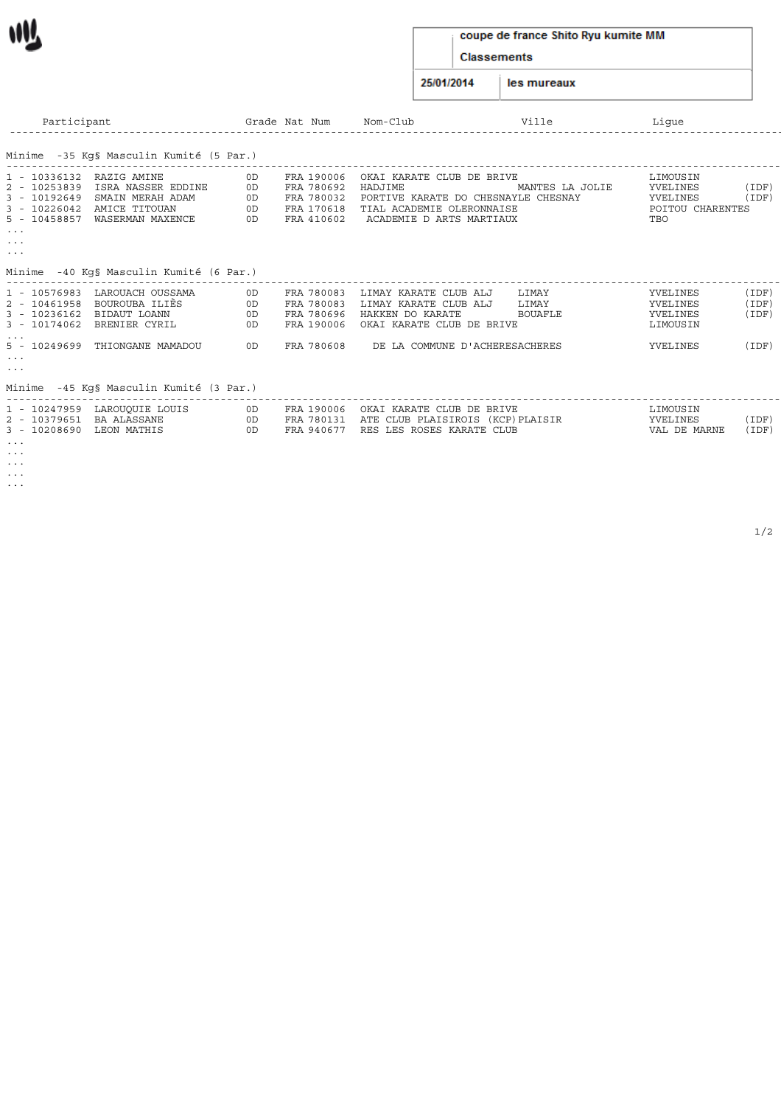# W

#### coupe de france Shito Ryu kumite MM

Classements

25/01/2014 les mureaux

| Participant                                                                                                                                                                            | Grade Nat Num              |                                                                    | Nom-Club                                                                                                                             | Ville                            | Lique                                                       |                                |
|----------------------------------------------------------------------------------------------------------------------------------------------------------------------------------------|----------------------------|--------------------------------------------------------------------|--------------------------------------------------------------------------------------------------------------------------------------|----------------------------------|-------------------------------------------------------------|--------------------------------|
| Minime  -35 Kg§ Masculin Kumité (5 Par.)                                                                                                                                               |                            |                                                                    |                                                                                                                                      |                                  |                                                             |                                |
| 1 - 10336132 RAZIG AMINE<br>2 - 10253839<br>ISRA NASSER EDDINE<br>3 - 10192649 SMAIN MERAH ADAM<br>3 - 10226042 AMICE TITOUAN<br>5 - 10458857 WASERMAN MAXENCE<br>$\sim$ $\sim$ $\sim$ | 0D<br>OD<br>0D<br>OD<br>OD | FRA 190006<br>FRA 780692<br>FRA 780032<br>FRA 170618<br>FRA 410602 | OKAI KARATE CLUB DE BRIVE<br>HADJIME<br>PORTIVE KARATE DO CHESNAYLE CHESNAY<br>TIAL ACADEMIE OLERONNAISE<br>ACADEMIE D ARTS MARTIAUX | MANTES LA JOLIE                  | LIMOUSIN<br>YVELINES<br>YVELINES<br>POITOU CHARENTES<br>TBO | (IDF<br>(IDF)                  |
| $\cdots$<br>$\sim$ $\sim$ $\sim$<br>Minime -40 Kq§ Masculin Kumité (6 Par.)                                                                                                            |                            |                                                                    |                                                                                                                                      |                                  |                                                             |                                |
| 1 - 10576983 LAROUACH OUSSAMA<br>2 - 10461958  BOUROUBA ILIÈS<br>3 - 10236162 BIDAUT LOANN<br>3 - 10174062 BRENIER CYRIL<br>5 - 10249699<br>THIONGANE MAMADOU                          | 0D<br>OD<br>0D<br>OD<br>OD | FRA 780083<br>FRA 780083<br>FRA 780696<br>FRA 190006<br>FRA 780608 | LIMAY KARATE CLUB ALJ<br>LIMAY KARATE CLUB ALJ<br>HAKKEN DO KARATE<br>OKAI KARATE CLUB DE BRIVE<br>DE LA COMMUNE D'ACHERESACHERES    | LIMAY<br>LIMAY<br><b>BOUAFLE</b> | YVELINES<br>YVELINES<br>YVELINES<br>LIMOUSIN<br>YVELINES    | (IDF<br>(IDF)<br>(IDF<br>(IDF) |
| $\sim$ $\sim$ $\sim$<br>$\sim$ $\sim$ $\sim$<br>Minime -45 Kg§ Masculin Kumité (3 Par.)                                                                                                |                            |                                                                    |                                                                                                                                      |                                  |                                                             |                                |

| 2 - 10379651 BA ALASSANE<br>3 - 10208690 LEON MATHIS | 1 - 10247959 LAROUQUIE LOUIS | 0D<br>0D<br>0D | FRA 190006 OKAI KARATE CLUB DE BRIVE<br>FRA 780131 ATE CLUB PLAISIROIS (KCP)PLAISIR<br>FRA 940677 RES LES ROSES KARATE CLUB | LIMOUSIN<br>YVELINES<br>VAL DE MARNE | 'IDF)<br>(IDF) |
|------------------------------------------------------|------------------------------|----------------|-----------------------------------------------------------------------------------------------------------------------------|--------------------------------------|----------------|
| $\cdots$<br>$\cdots$                                 |                              |                |                                                                                                                             |                                      |                |
| $\cdots$                                             |                              |                |                                                                                                                             |                                      |                |

- ... ...
-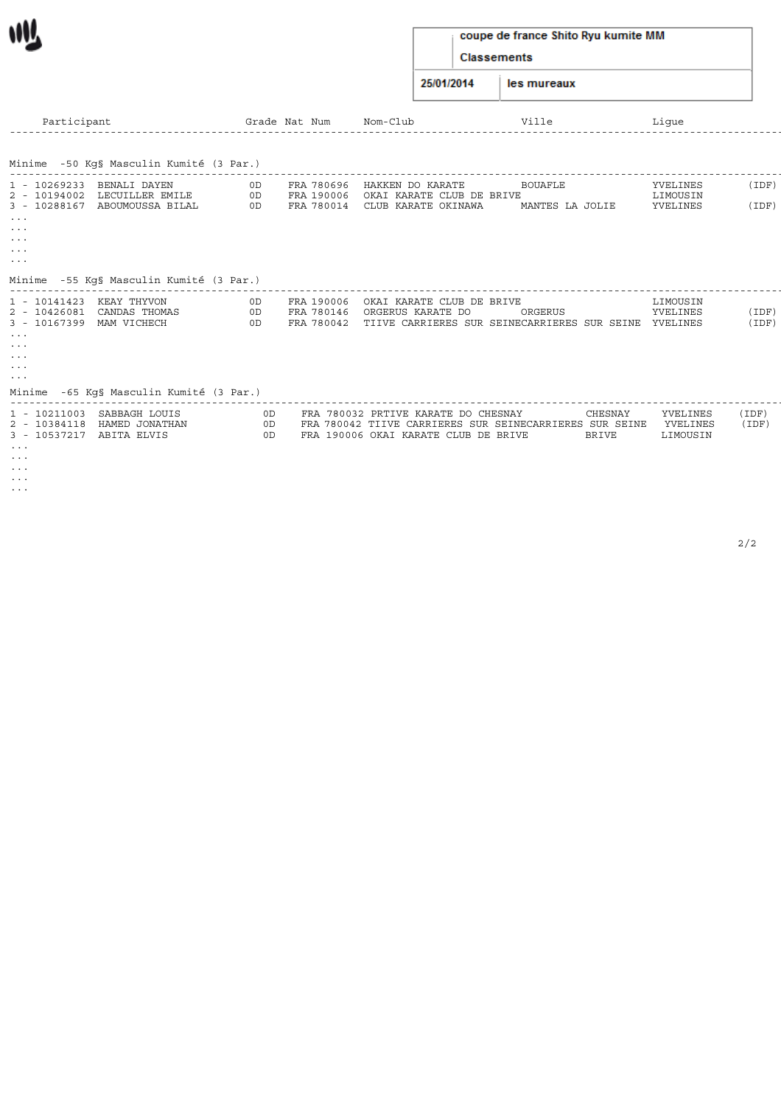## coupe de france Shito Ryu kumite MM

Classements

25/01/2014 les mureaux

| Participant                                                                                                                                       |                                                                                                          | Grade Nat Num  |                                        | Nom-Club                                                                                                                               | Ville                             | Lique                            |                |
|---------------------------------------------------------------------------------------------------------------------------------------------------|----------------------------------------------------------------------------------------------------------|----------------|----------------------------------------|----------------------------------------------------------------------------------------------------------------------------------------|-----------------------------------|----------------------------------|----------------|
|                                                                                                                                                   | Minime -50 Kg§ Masculin Kumité (3 Par.)                                                                  |                |                                        |                                                                                                                                        |                                   |                                  |                |
| 1 - 10269233 BENALI DAYEN<br>$\sim$ $\sim$ $\sim$<br>$\sim$ $\sim$ $\sim$<br>$\sim$ $\sim$ $\sim$<br>$\sim$ $\sim$ $\sim$<br>$\sim$ $\sim$ $\sim$ | 2 - 10194002 LECUILLER EMILE<br>3 - 10288167 ABOUMOUSSA BILAL<br>Minime -55 Kq§ Masculin Kumité (3 Par.) | 0D<br>OD<br>OD | FRA 780696<br>FRA 190006<br>FRA 780014 | HAKKEN DO KARATE<br>OKAI KARATE CLUB DE BRIVE<br>CLUB KARATE OKINAWA                                                                   | <b>BOUAFLE</b><br>MANTES LA JOLIE | YVELINES<br>LIMOUSIN<br>YVELINES | (IDF)<br>(IDF) |
| 1 - 10141423<br>3 - 10167399 MAM VICHECH<br>$\sim$ $\sim$ $\sim$<br>$\cdots$<br>$\cdots$<br>$\sim$ $\sim$ $\sim$<br>$\sim$ $\sim$ $\sim$          | KEAY THYVON<br>2 - 10426081 CANDAS THOMAS<br>Minime -65 Kg§ Masculin Kumité (3 Par.)                     | 0D<br>0D<br>0D | FRA 190006<br>FRA 780146<br>FRA 780042 | OKAI KARATE CLUB DE BRIVE<br>ORGERUS KARATE DO<br>TIIVE CARRIERES SUR SEINECARRIERES SUR SEINE YVELINES                                | ORGERUS                           | LIMOUSIN<br>YVELINES             | (IDF)<br>(IDF) |
| 3 - 10537217 ABITA ELVIS<br>$\cdots$<br>$\cdots$                                                                                                  | 1 - 10211003 SABBAGH LOUIS<br>2 - 10384118 HAMED JONATHAN                                                | 0D<br>OD<br>OD |                                        | FRA 780032 PRTIVE KARATE DO CHESNAY<br>FRA 780042 TIIVE CARRIERES SUR SEINECARRIERES SUR SEINE<br>FRA 190006 OKAI KARATE CLUB DE BRIVE | CHESNAY<br>BRIVE                  | YVELINES<br>YVELINES<br>LIMOUSIN | (IDF)<br>(IDF) |

... ... ...

 $\mathbf{M}$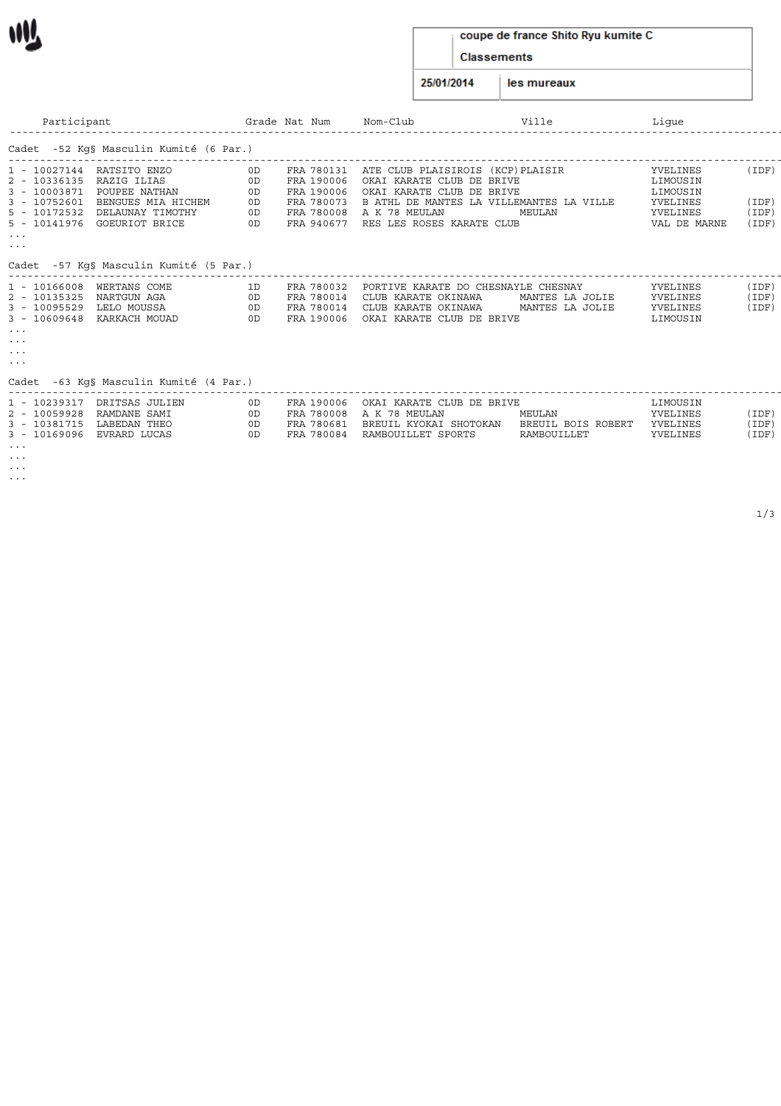#### coupe de france Shito Ryu kumite C

Classements

25/01/2014 les mureaux

| Participant                                                                                                                                                                            |                                  | Grade Nat Num                                                                    | Nom-Club                                                                                                                                 | Ville                                              | Lique                                                                    |                                  |
|----------------------------------------------------------------------------------------------------------------------------------------------------------------------------------------|----------------------------------|----------------------------------------------------------------------------------|------------------------------------------------------------------------------------------------------------------------------------------|----------------------------------------------------|--------------------------------------------------------------------------|----------------------------------|
| Cadet -52 Kq§ Masculin Kumité (6 Par.)                                                                                                                                                 |                                  |                                                                                  |                                                                                                                                          |                                                    |                                                                          |                                  |
| 1 - 10027144 RATSITO ENZO<br>2 - 10336135 RAZIG ILIAS<br>3 - 10003871 POUPEE NATHAN<br>3 - 10752601 BENGUES MIA HICHEM<br>5 - 10172532 DELAUNAY TIMOTHY<br>5 - 10141976 GOEURIOT BRICE | 0D<br>OD<br>0D<br>0D<br>0D<br>OD | FRA 780131<br>FRA 190006<br>FRA 190006<br>FRA 780073<br>FRA 780008<br>FRA 940677 | ATE CLUB PLAISIROIS (KCP)PLAISIR<br>OKAI KARATE CLUB DE BRIVE<br>OKAI KARATE CLUB DE BRIVE<br>A K 78 MEULAN<br>RES LES ROSES KARATE CLUB | B ATHL DE MANTES LA VILLEMANTES LA VILLE<br>MEULAN | YVELINES<br>LIMOUSIN<br>LIMOUSIN<br>YVELINES<br>YVELINES<br>VAL DE MARNE | (IDF)<br>(IDF)<br>(IDF)<br>(IDF) |
| $\sim$ $\sim$ $\sim$<br>$\sim$ $\sim$ $\sim$                                                                                                                                           |                                  |                                                                                  |                                                                                                                                          |                                                    |                                                                          |                                  |
| Cadet -57 Kq§ Masculin Kumité (5 Par.)                                                                                                                                                 |                                  |                                                                                  |                                                                                                                                          |                                                    |                                                                          |                                  |
| 1 - 10166008 WERTANS COME<br>2 - 10135325 NARTGUN AGA<br>3 - 10095529 LELO MOUSSA<br>3 - 10609648 KARKACH MOUAD<br>$\cdots$<br>$\cdots$<br>$\cdots$<br>$\cdots$                        | 1D.<br>0D<br>OD<br>OD            | FRA 780032<br>FRA 780014<br>FRA 780014<br>FRA 190006                             | PORTIVE KARATE DO CHESNAYLE CHESNAY<br>CLUB KARATE OKINAWA<br>CLUB KARATE OKINAWA<br>OKAI KARATE CLUB DE BRIVE                           | MANTES LA JOLIE<br>MANTES LA JOLIE                 | YVELINES<br>YVELINES<br>YVELINES<br>LIMOUSIN                             | (IDF)<br>(IDF)<br>(IDF)          |
| Cadet -63 Kg§ Masculin Kumité (4 Par.)                                                                                                                                                 |                                  |                                                                                  |                                                                                                                                          |                                                    |                                                                          |                                  |
| 1 - 10239317 DRITSAS JULIEN                                                                                                                                                            | 0D.                              |                                                                                  | FRA 190006 OKAT KARATE CLUB DE BRIVE                                                                                                     |                                                    | <b>T.TMOUSTN</b>                                                         |                                  |

|          | 1 - 10239317 DRITSAS JULIEN<br>2 - 10059928  RAMDANE SAMI<br>3 - 10381715 LABEDAN THEO<br>3 - 10169096 EVRARD LUCAS | 0D.<br>0D.<br>0D.<br>. OD | FRA 190006<br>FRA 780681<br>FRA 780084 | OKAI KARATE CLUB DE BRIVE<br>FRA 780008 A K 78 MEULAN<br>BREUIL KYOKAI SHOTOKAN<br>RAMBOUILLET SPORTS | MEULAN<br>BREUIL BOIS ROBERT<br>RAMBOUILLET | LIMOUSIN<br>YVELINES<br>YVELINES<br>YVELINES | IDF)<br>(IDF)<br>(IDF) |
|----------|---------------------------------------------------------------------------------------------------------------------|---------------------------|----------------------------------------|-------------------------------------------------------------------------------------------------------|---------------------------------------------|----------------------------------------------|------------------------|
| $\cdots$ |                                                                                                                     |                           |                                        |                                                                                                       |                                             |                                              |                        |

... ...

WV.

...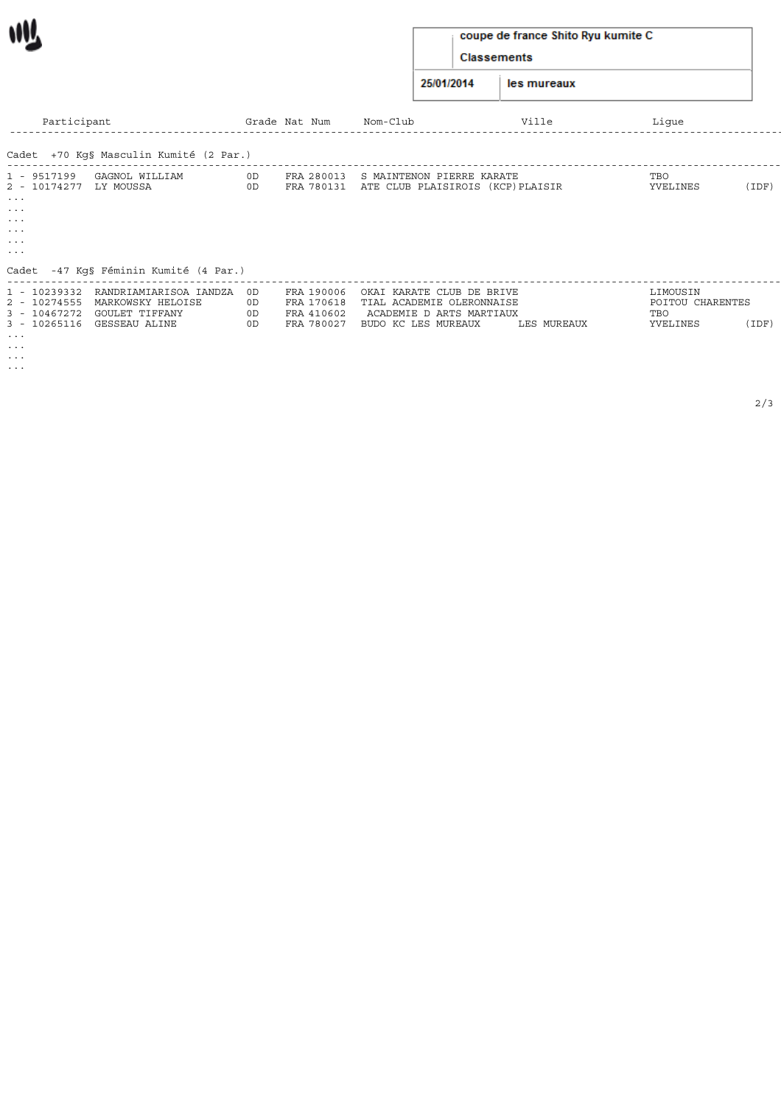# coupe de france Shito Ryu kumite C

Classements

25/01/2014 les mureaux

| Participant                                             |          | Grade Nat Num | Nom-Club                                                                            | Ville       | Lique            |       |
|---------------------------------------------------------|----------|---------------|-------------------------------------------------------------------------------------|-------------|------------------|-------|
| Cadet +70 Kg§ Masculin Kumité (2 Par.)                  |          |               |                                                                                     |             |                  |       |
| ---------------------------                             |          |               |                                                                                     |             |                  |       |
| 1 - 9517199<br>GAGNOL WILLIAM<br>2 - 10174277 LY MOUSSA | 0D<br>OD |               | FRA 280013 S MAINTENON PIERRE KARATE<br>FRA 780131 ATE CLUB PLAISIROIS (KCP)PLAISIR |             | TBO<br>YVELINES  | (IDF) |
| $\sim$ $\sim$ $\sim$                                    |          |               |                                                                                     |             |                  |       |
| $\cdots$                                                |          |               |                                                                                     |             |                  |       |
| $\cdots$                                                |          |               |                                                                                     |             |                  |       |
| $\cdots$                                                |          |               |                                                                                     |             |                  |       |
| $\cdots$                                                |          |               |                                                                                     |             |                  |       |
| $\cdots$                                                |          |               |                                                                                     |             |                  |       |
| Cadet -47 Kq§ Féminin Kumité (4 Par.)                   |          |               |                                                                                     |             |                  |       |
| 1 - 10239332 RANDRIAMIARISOA IANDZA OD                  |          | FRA 190006    | OKAI KARATE CLUB DE BRIVE                                                           |             | LIMOUSIN         |       |
| 2 - 10274555<br>MARKOWSKY HELOISE                       | 0D       | FRA 170618    | TIAL ACADEMIE OLERONNAISE                                                           |             | POITOU CHARENTES |       |
| 3 - 10467272<br>GOULET TIFFANY                          | 0D       | FRA 410602    | ACADEMIE D ARTS MARTIAUX                                                            |             | TBO              |       |
| 3 - 10265116 GESSEAU ALINE                              | 0D       | FRA 780027    | BUDO KC LES MUREAUX                                                                 | LES MUREAUX | YVELINES         | (IDF) |
| $\sim$ $\sim$ $\sim$                                    |          |               |                                                                                     |             |                  |       |
| $\sim$ $\sim$ $\sim$                                    |          |               |                                                                                     |             |                  |       |
| $\sim$ $\sim$ $\sim$                                    |          |               |                                                                                     |             |                  |       |
|                                                         |          |               |                                                                                     |             |                  |       |

...

M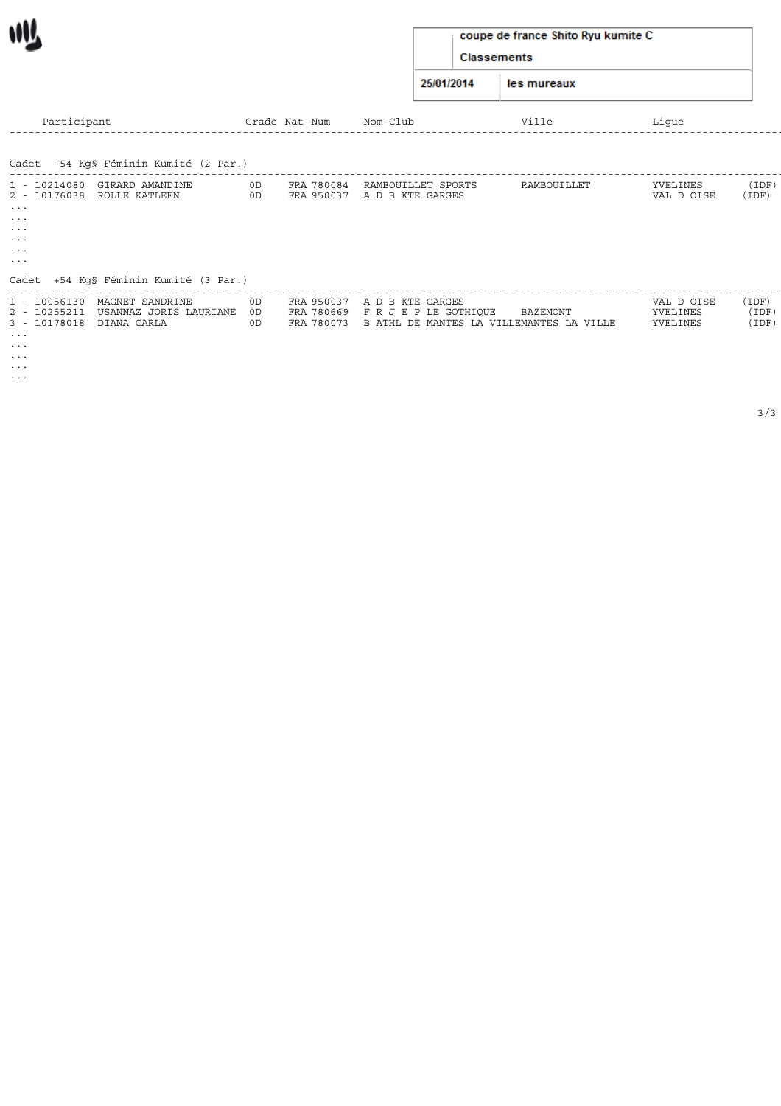## coupe de france Shito Ryu kumite C

Classements

25/01/2014 les mureaux

| Participant                                                                                                                                    |                                                                                    |                | Grade Nat Num | Nom-Club                                                                                                          | Ville       | Lique                              |                         |
|------------------------------------------------------------------------------------------------------------------------------------------------|------------------------------------------------------------------------------------|----------------|---------------|-------------------------------------------------------------------------------------------------------------------|-------------|------------------------------------|-------------------------|
| Cadet -54 Kg§ Féminin Kumité (2 Par.)                                                                                                          |                                                                                    |                |               |                                                                                                                   |             |                                    |                         |
| 1 - 10214080 GIRARD AMANDINE<br>2 - 10176038 ROLLE KATLEEN<br>$\cdots$<br>$\cdots$<br>$\cdots$<br>$\cdots$<br>$\sim$ $\sim$ $\sim$<br>$\cdots$ |                                                                                    | 0D<br>OD       | FRA 780084    | RAMBOUILLET SPORTS<br>FRA 950037 A D B KTE GARGES                                                                 | RAMBOUILLET | YVELINES<br>VAL D OISE             | (IDF<br>(IDF)           |
| 1 - 10056130<br>2 - 10255211<br>DIANA CARLA<br>3 - 10178018                                                                                    | Cadet +54 Kg§ Féminin Kumité (3 Par.)<br>MAGNET SANDRINE<br>USANNAZ JORIS LAURIANE | 0D<br>OD<br>0D |               | FRA 950037 A D B KTE GARGES<br>FRA 780669 FRJEPLE GOTHIQUE<br>FRA 780073 B ATHL DE MANTES LA VILLEMANTES LA VILLE | BAZEMONT    | VAL D OISE<br>YVELINES<br>YVELINES | (IDF)<br>(IDF)<br>(IDF) |

... ...

W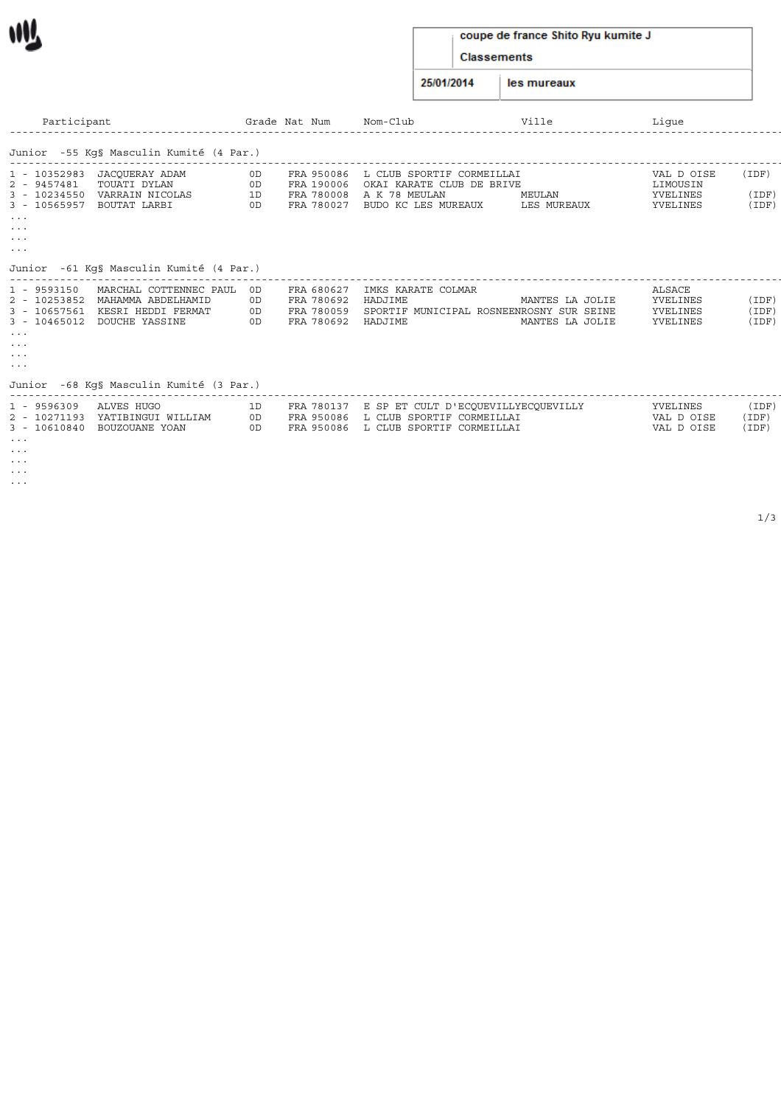#### coupe de france Shito Ryu kumite J

Classements

25/01/2014 les mureaux

| Participant                                                                                                                                                 |                                                                                                      |                      | Grade Nat Num                                                | Nom-Club                                                                                                                        | Ville                              | Lique                                             |                         |
|-------------------------------------------------------------------------------------------------------------------------------------------------------------|------------------------------------------------------------------------------------------------------|----------------------|--------------------------------------------------------------|---------------------------------------------------------------------------------------------------------------------------------|------------------------------------|---------------------------------------------------|-------------------------|
|                                                                                                                                                             | Junior -55 Kq§ Masculin Kumité (4 Par.)                                                              |                      |                                                              |                                                                                                                                 |                                    |                                                   |                         |
| 1 - 10352983<br>2 - 9457481<br>3 - 10234550<br>3 - 10565957<br>$\sim$ $\sim$ $\sim$<br>$\sim$ $\sim$ $\sim$<br>$\sim$ $\sim$ $\sim$<br>$\sim$ $\sim$ $\sim$ | JACQUERAY ADAM<br>TOUATI DYLAN<br>VARRAIN NICOLAS<br>BOUTAT LARBI                                    | 0D<br>0D<br>1D<br>0D | FRA 950086                                                   | L CLUB SPORTIF CORMEILLAI<br>FRA 190006 OKAI KARATE CLUB DE BRIVE<br>FRA 780008 A K 78 MEULAN<br>FRA 780027 BUDO KC LES MUREAUX | MEULAN<br>LES MUREAUX              | VAL D OISE<br>LIMOUSIN<br>YVELINES<br>YVELINES    | (IDF)<br>(IDF)<br>(IDF) |
|                                                                                                                                                             | Junior -61 Kg§ Masculin Kumité (4 Par.)                                                              |                      |                                                              |                                                                                                                                 |                                    |                                                   |                         |
| 1 - 9593150<br>2 - 10253852<br>3 - 10657561<br>$\sim$ $\sim$ $\sim$<br>$\cdots$<br>$\cdots$<br>$\sim$ $\sim$ $\sim$                                         | MARCHAL COTTENNEC PAUL OD<br>MAHAMMA ABDELHAMID<br>KESRI HEDDI FERMAT<br>3 - 10465012 DOUCHE YASSINE | 0D<br>0D<br>0D       | FRA 680627<br>FRA 780692<br>FRA 780059<br>FRA 780692 HADJIME | IMKS KARATE COLMAR<br>HADJIME<br>SPORTIF MUNICIPAL ROSNEENROSNY SUR SEINE                                                       | MANTES LA JOLIE<br>MANTES LA JOLIE | <b>ALSACE</b><br>YVELINES<br>YVELINES<br>YVELINES | (IDF)<br>(IDF)<br>(IDF) |
|                                                                                                                                                             | Junior -68 Kq§ Masculin Kumité (3 Par.)                                                              |                      |                                                              |                                                                                                                                 |                                    |                                                   |                         |
| 1 - 9596309<br>2 - 10271193                                                                                                                                 | ALVES HUGO<br>YATIBINGUI WILLIAM<br>3 - 10610840 BOUZOUANE YOAN                                      | 1D<br>0D<br>OD       |                                                              | FRA 780137 E SP ET CULT D'ECQUEVILLYECQUEVILLY<br>FRA 950086 L CLUB SPORTIF CORMEILLAI<br>FRA 950086 L CLUB SPORTIF CORMEILLAI  |                                    | YVELINES<br>VAL D OISE<br>VAL D OISE              | (IDF)<br>(IDF)<br>(IDF) |

... ... ... ... ...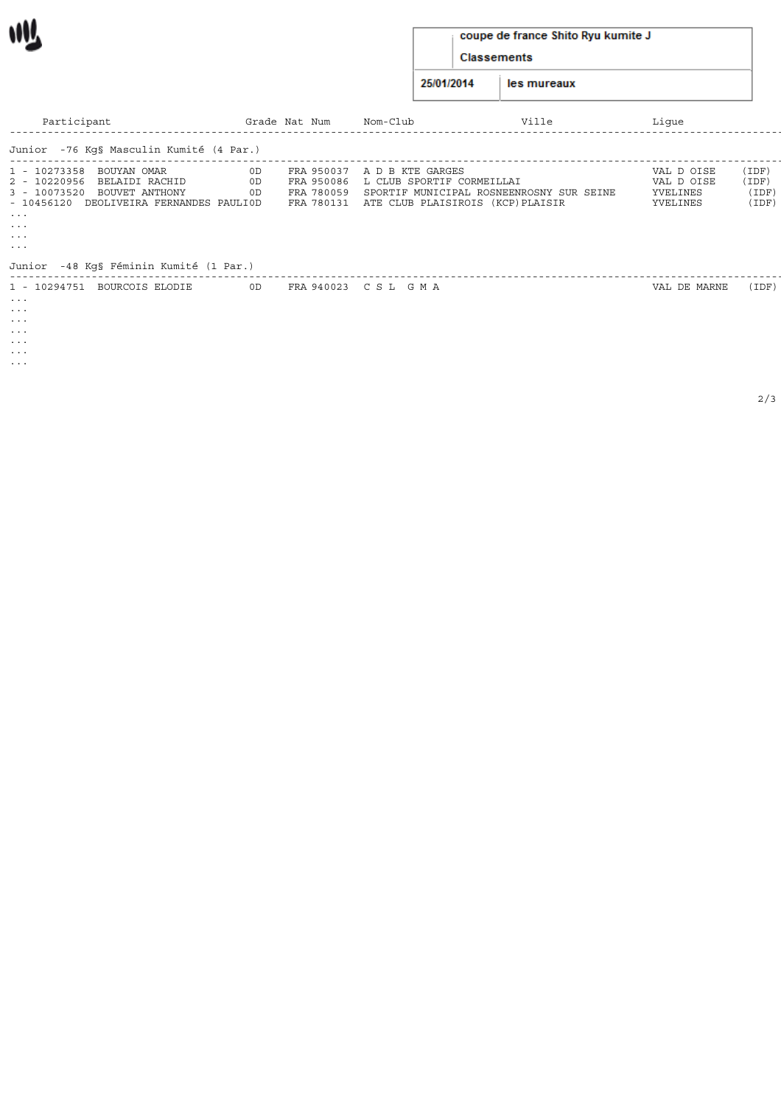## coupe de france Shito Ryu kumite J

Classements

25/01/2014 les mureaux

| Participant                                                                                                                                                                                                                                                     | Grade Nat Num                | Nom-Club                                                                                                           | Ville                                    | Lique                                            |                                  |
|-----------------------------------------------------------------------------------------------------------------------------------------------------------------------------------------------------------------------------------------------------------------|------------------------------|--------------------------------------------------------------------------------------------------------------------|------------------------------------------|--------------------------------------------------|----------------------------------|
| Junior -76 Kq§ Masculin Kumité (4 Par.)                                                                                                                                                                                                                         |                              |                                                                                                                    |                                          |                                                  |                                  |
| 1 - 10273358 BOUYAN OMAR<br>2 - 10220956 BELAIDI RACHID<br>3 - 10073520 BOUVET ANTHONY<br>- 10456120 DEOLIVEIRA FERNANDES PAULIOD<br>$\sim$ $\sim$ $\sim$<br>$\cdots$<br>$\sim$ $\sim$ $\sim$<br>$\sim$ $\sim$ $\sim$<br>Junior -48 Kg§ Féminin Kumité (1 Par.) | 0D<br>OD<br>OD<br>FRA 780059 | FRA 950037 A D B KTE GARGES<br>FRA 950086 L CLUB SPORTIF CORMEILLAI<br>FRA 780131 ATE CLUB PLAISIROIS (KCP)PLAISIR | SPORTIF MUNICIPAL ROSNEENROSNY SUR SEINE | VAL D OISE<br>VAL D OISE<br>YVELINES<br>YVELINES | (IDF)<br>(IDF)<br>(IDF)<br>(IDF) |
| 1 - 10294751 BOURCOIS ELODIE<br>$\cdots$<br>$\cdots$<br>$\cdots$<br>$\cdots$<br>$\cdots$<br>$\cdots$<br>$\cdots$                                                                                                                                                | OD                           | FRA 940023 CSL GMA                                                                                                 |                                          | VAL DE MARNE                                     | (IDF)                            |

W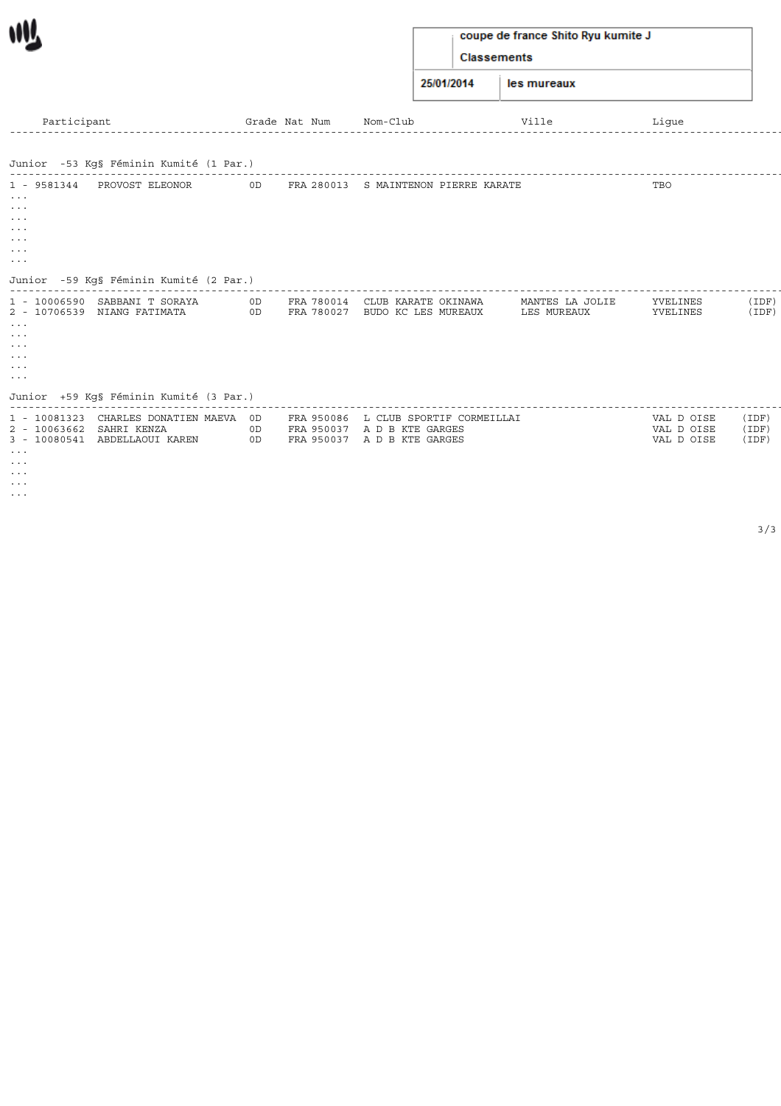## coupe de france Shito Ryu kumite J

Classements

25/01/2014 les mureaux

| Participant                                                                                                                                                                         |                                                                                                                                                  |          | Grade Nat Num | Nom-Club                                                                                           | Ville                          | Lique                                  |                         |
|-------------------------------------------------------------------------------------------------------------------------------------------------------------------------------------|--------------------------------------------------------------------------------------------------------------------------------------------------|----------|---------------|----------------------------------------------------------------------------------------------------|--------------------------------|----------------------------------------|-------------------------|
|                                                                                                                                                                                     | Junior -53 Kg§ Féminin Kumité (1 Par.)                                                                                                           |          |               |                                                                                                    |                                |                                        |                         |
| 1 - 9581344<br>$\sim$ $\sim$ $\sim$<br>$\sim$ $\sim$ $\sim$<br>$\sim$ $\sim$ $\sim$<br>$\sim$ $\sim$ $\sim$<br>$\sim$ $\sim$ $\sim$<br>$\sim$ $\sim$ $\sim$<br>$\sim$ $\sim$ $\sim$ | PROVOST ELEONOR                                                                                                                                  | OD       |               | FRA 280013 S MAINTENON PIERRE KARATE                                                               |                                | TBO                                    |                         |
| $\sim$ $\sim$ $\sim$<br>$\sim$ $\sim$ $\sim$<br>$\sim$ $\sim$ $\sim$<br>$\sim$ $\sim$ $\sim$<br>$\sim$ $\sim$ $\sim$<br>$\sim$ $\sim$ $\sim$                                        | Junior -59 Kq§ Féminin Kumité (2 Par.)<br>1 - 10006590 SABBANI T SORAYA<br>2 - 10706539 NIANG FATIMATA<br>Junior +59 Kq§ Féminin Kumité (3 Par.) | OD<br>OD |               | FRA 780014 CLUB KARATE OKINAWA<br>FRA 780027 BUDO KC LES MUREAUX                                   | MANTES LA JOLIE<br>LES MUREAUX | YVELINES<br>YVELINES                   | (IDF)<br>(IDF)          |
| 2 - 10063662 SAHRI KENZA<br>$\sim$ $\sim$ $\sim$<br>$\sim$ $\sim$ $\sim$<br>$\sim$ $\sim$ $\sim$<br>$\sim$ $\sim$ $\sim$<br>$\sim$ $\sim$ $\sim$                                    | 1 - 10081323 CHARLES DONATIEN MAEVA OD<br>3 - 10080541 ABDELLAOUI KAREN                                                                          | OD<br>OD |               | FRA 950086 L CLUB SPORTIF CORMEILLAI<br>FRA 950037 A D B KTE GARGES<br>FRA 950037 A D B KTE GARGES |                                | VAL D OISE<br>VAL D OISE<br>VAL D OISE | (IDF)<br>(IDF)<br>(IDF) |

W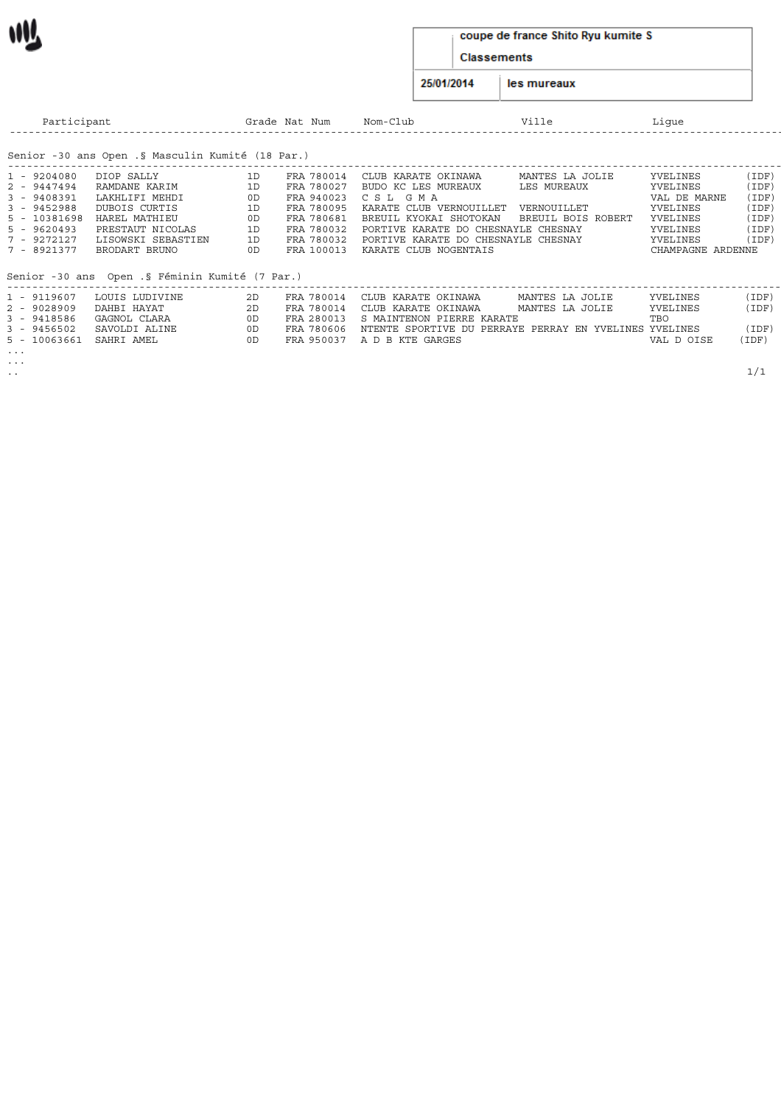#### coupe de france Shito Ryu kumite S

Classements

25/01/2014 les mureaux

| Participant                                                                                                                 |                                                                                                                                            |                                              | Grade Nat Num                                                                                                | Nom-Club                                                                                                                                                                                                                 | Ville                                                               | Lique                                                                                                     |                                                             |
|-----------------------------------------------------------------------------------------------------------------------------|--------------------------------------------------------------------------------------------------------------------------------------------|----------------------------------------------|--------------------------------------------------------------------------------------------------------------|--------------------------------------------------------------------------------------------------------------------------------------------------------------------------------------------------------------------------|---------------------------------------------------------------------|-----------------------------------------------------------------------------------------------------------|-------------------------------------------------------------|
|                                                                                                                             | Senior -30 ans Open .§ Masculin Kumité (18 Par.)                                                                                           |                                              |                                                                                                              |                                                                                                                                                                                                                          |                                                                     |                                                                                                           |                                                             |
| 1 - 9204080<br>2 - 9447494<br>$3 - 9408391$<br>$3 - 9452988$<br>5 - 10381698<br>$5 - 9620493$<br>7 - 9272127<br>7 - 8921377 | DIOP SALLY<br>RAMDANE KARIM<br>LAKHLIFI MEHDI<br>DUBOIS CURTIS<br>HAREL MATHIEU<br>PRESTAUT NICOLAS<br>LISOWSKI SEBASTIEN<br>BRODART BRUNO | 1D<br>1D<br>OD<br>1D<br>OD<br>1D<br>1D<br>0D | FRA 780014<br>FRA 780027<br>FRA 940023<br>FRA 780095<br>FRA 780681<br>FRA 780032<br>FRA 780032<br>FRA 100013 | CLUB KARATE OKINAWA<br>BUDO KC LES MUREAUX<br>C S L<br>G M A<br>KARATE CLUB VERNOUILLET<br>BREUIL KYOKAI SHOTOKAN<br>PORTIVE KARATE DO CHESNAYLE CHESNAY<br>PORTIVE KARATE DO CHESNAYLE CHESNAY<br>KARATE CLUB NOGENTAIS | MANTES LA JOLIE<br>LES MUREAUX<br>VERNOUILLET<br>BREUIL BOIS ROBERT | YVELINES<br>YVELINES<br>VAL DE MARNE<br>YVELINES<br>YVELINES<br>YVELINES<br>YVELINES<br>CHAMPAGNE ARDENNE | (IDF)<br>(IDF)<br>(IDF)<br>(IDF)<br>(IDF)<br>(IDF)<br>(IDF) |
|                                                                                                                             | Senior -30 ans Open .§ Féminin Kumité (7 Par.)                                                                                             |                                              |                                                                                                              |                                                                                                                                                                                                                          |                                                                     |                                                                                                           |                                                             |
| 1 - 9119607<br>2 - 9028909<br>3 - 9418586<br>$3 - 9456502$<br>5 - 10063661                                                  | LOUIS LUDIVINE<br>DAHBI HAYAT<br>GAGNOL CLARA<br>SAVOLDI ALINE<br>SAHRI AMEL                                                               | 2D<br>2D<br>0D<br>OD<br>0D                   | FRA 780014<br>FRA 780014<br>FRA 280013<br>FRA 780606<br>FRA 950037                                           | CLUB KARATE OKINAWA<br>CLUB KARATE OKINAWA<br>S MAINTENON PIERRE KARATE<br>NTENTE SPORTIVE DU PERRAYE PERRAY EN YVELINES YVELINES<br>A D B KTE GARGES                                                                    | MANTES LA JOLIE<br>MANTES LA JOLIE                                  | YVELINES<br>YVELINES<br>TBO<br>VAL D OISE                                                                 | (IDF)<br>(IDF)<br>(IDF)<br>(IDF)                            |